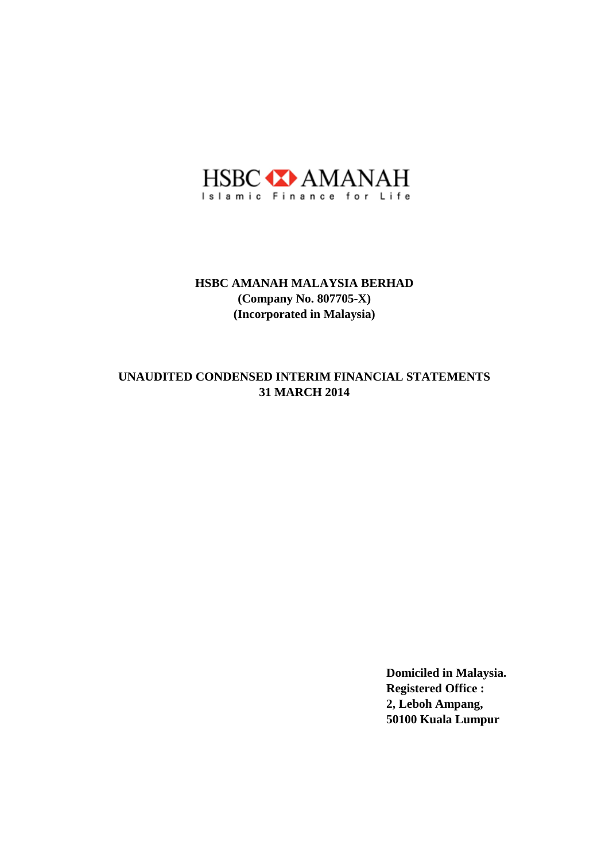

## **31 MARCH 2014 UNAUDITED CONDENSED INTERIM FINANCIAL STATEMENTS**

**Domiciled in Malaysia. Registered Office : 2, Leboh Ampang, 50100 Kuala Lumpur**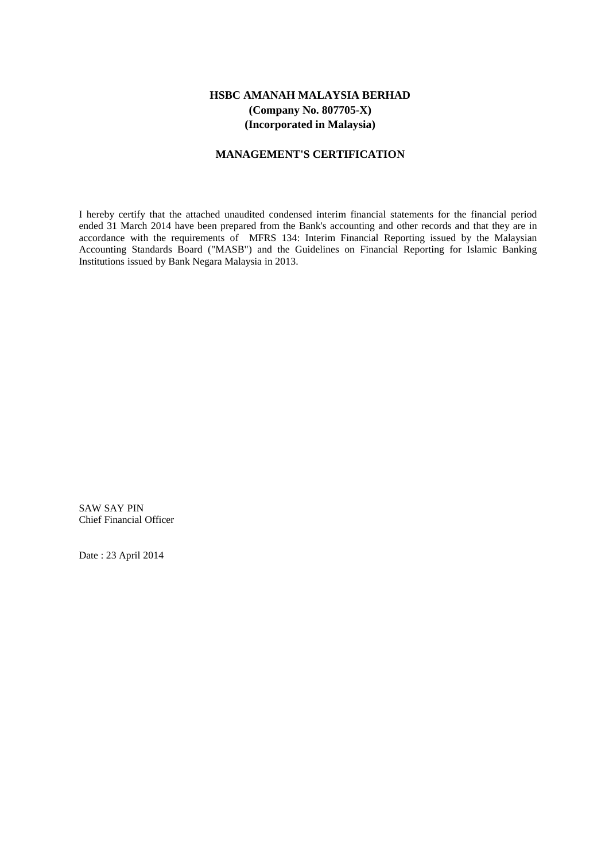#### **MANAGEMENT'S CERTIFICATION**

I hereby certify that the attached unaudited condensed interim financial statements for the financial period ended 31 March 2014 have been prepared from the Bank's accounting and other records and that they are in accordance with the requirements of MFRS 134: Interim Financial Reporting issued by the Malaysian Accounting Standards Board ("MASB") and the Guidelines on Financial Reporting for Islamic Banking Institutions issued by Bank Negara Malaysia in 2013.

SAW SAY PIN Chief Financial Officer

Date : 23 April 2014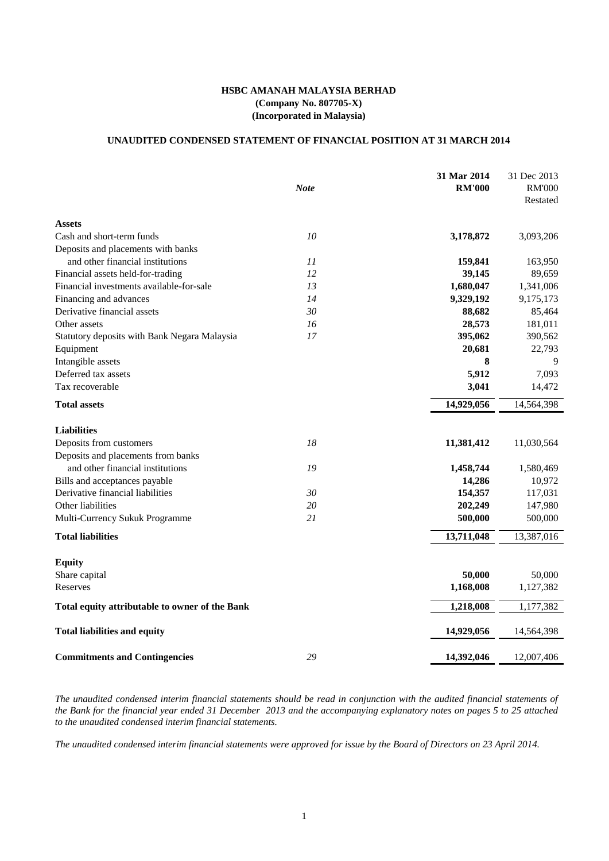### **UNAUDITED CONDENSED STATEMENT OF FINANCIAL POSITION AT 31 MARCH 2014**

|                                                | <b>Note</b> | 31 Mar 2014<br><b>RM'000</b> | 31 Dec 2013<br><b>RM'000</b><br>Restated |
|------------------------------------------------|-------------|------------------------------|------------------------------------------|
| <b>Assets</b>                                  |             |                              |                                          |
| Cash and short-term funds                      | 10          | 3,178,872                    | 3,093,206                                |
| Deposits and placements with banks             |             |                              |                                          |
| and other financial institutions               | 11          | 159,841                      | 163,950                                  |
| Financial assets held-for-trading              | 12          | 39,145                       | 89,659                                   |
| Financial investments available-for-sale       | 13          | 1,680,047                    | 1,341,006                                |
| Financing and advances                         | 14          | 9,329,192                    | 9,175,173                                |
| Derivative financial assets                    | 30          | 88,682                       | 85,464                                   |
| Other assets                                   | 16          | 28,573                       | 181,011                                  |
| Statutory deposits with Bank Negara Malaysia   | 17          | 395,062                      | 390,562                                  |
| Equipment                                      |             | 20,681                       | 22,793                                   |
| Intangible assets                              |             | 8                            | 9                                        |
| Deferred tax assets                            |             | 5,912                        | 7,093                                    |
| Tax recoverable                                |             | 3,041                        | 14,472                                   |
| <b>Total assets</b>                            |             | 14,929,056                   | 14,564,398                               |
| <b>Liabilities</b>                             |             |                              |                                          |
| Deposits from customers                        | 18          | 11,381,412                   | 11,030,564                               |
| Deposits and placements from banks             |             |                              |                                          |
| and other financial institutions               | 19          | 1,458,744                    | 1,580,469                                |
| Bills and acceptances payable                  |             | 14,286                       | 10,972                                   |
| Derivative financial liabilities               | 30          | 154,357                      | 117,031                                  |
| Other liabilities                              | 20          | 202,249                      | 147,980                                  |
| Multi-Currency Sukuk Programme                 | 21          | 500,000                      | 500,000                                  |
| <b>Total liabilities</b>                       |             | 13,711,048                   | 13,387,016                               |
| <b>Equity</b>                                  |             |                              |                                          |
| Share capital                                  |             | 50,000                       | 50,000                                   |
| Reserves                                       |             | 1,168,008                    | 1,127,382                                |
| Total equity attributable to owner of the Bank |             | 1,218,008                    | 1,177,382                                |
| <b>Total liabilities and equity</b>            |             | 14,929,056                   | 14,564,398                               |
| <b>Commitments and Contingencies</b>           | 29          | 14,392,046                   | 12,007,406                               |

The unaudited condensed interim financial statements should be read in conjunction with the audited financial statements of the Bank for the financial year ended 31 December 2013 and the accompanying explanatory notes on pages 5 to 25 attached *to the unaudited condensed interim financial statements.*

The unaudited condensed interim financial statements were approved for issue by the Board of Directors on 23 April 2014.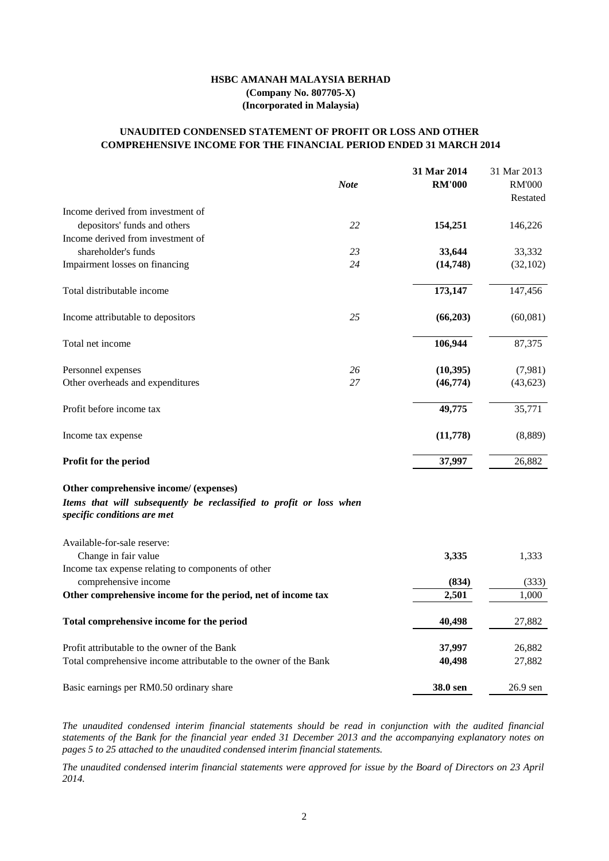|                                                                                                                                              |             | 31 Mar 2014   | 31 Mar 2013   |
|----------------------------------------------------------------------------------------------------------------------------------------------|-------------|---------------|---------------|
|                                                                                                                                              | <b>Note</b> | <b>RM'000</b> | <b>RM'000</b> |
|                                                                                                                                              |             |               | Restated      |
| Income derived from investment of                                                                                                            |             |               |               |
| depositors' funds and others                                                                                                                 | 22          | 154,251       | 146,226       |
| Income derived from investment of                                                                                                            |             |               |               |
| shareholder's funds                                                                                                                          | 23          | 33,644        | 33,332        |
| Impairment losses on financing                                                                                                               | 24          | (14,748)      | (32,102)      |
| Total distributable income                                                                                                                   |             | 173,147       | 147,456       |
| Income attributable to depositors                                                                                                            | 25          | (66,203)      | (60,081)      |
| Total net income                                                                                                                             |             | 106,944       | 87,375        |
| Personnel expenses                                                                                                                           | 26          | (10, 395)     | (7,981)       |
| Other overheads and expenditures                                                                                                             | 27          | (46,774)      | (43, 623)     |
| Profit before income tax                                                                                                                     |             | 49,775        | 35,771        |
| Income tax expense                                                                                                                           |             | (11,778)      | (8,889)       |
| Profit for the period                                                                                                                        |             | 37,997        | 26,882        |
| Other comprehensive income/ (expenses)<br>Items that will subsequently be reclassified to profit or loss when<br>specific conditions are met |             |               |               |
| Available-for-sale reserve:                                                                                                                  |             |               |               |
| Change in fair value                                                                                                                         |             | 3,335         | 1,333         |
| Income tax expense relating to components of other                                                                                           |             | (834)         |               |
| comprehensive income                                                                                                                         |             |               | (333)         |
| Other comprehensive income for the period, net of income tax                                                                                 |             | 2,501         | 1,000         |

The unaudited condensed interim financial statements were approved for issue by the Board of Directors on 23 April *2014.*

| Profit attributable to the owner of the Bank                     | 37,997          | 26,882     |
|------------------------------------------------------------------|-----------------|------------|
| Total comprehensive income attributable to the owner of the Bank | 40.498          | 27,882     |
| Basic earnings per RM0.50 ordinary share                         | <b>38.0 sen</b> | $26.9$ sen |

**Total comprehensive income for the period 40,498** 27,882

# **COMPREHENSIVE INCOME FOR THE FINANCIAL PERIOD ENDED 31 MARCH 2014 UNAUDITED CONDENSED STATEMENT OF PROFIT OR LOSS AND OTHER**

# **HSBC AMANAH MALAYSIA BERHAD (Company No. 807705-X) (Incorporated in Malaysia)**

*The unaudited condensed interim financial statements should be read in conjunction with the audited financial* statements of the Bank for the financial year ended 31 December 2013 and the accompanying explanatory notes on *pages 5 to 25 attached to the unaudited condensed interim financial statements.*

2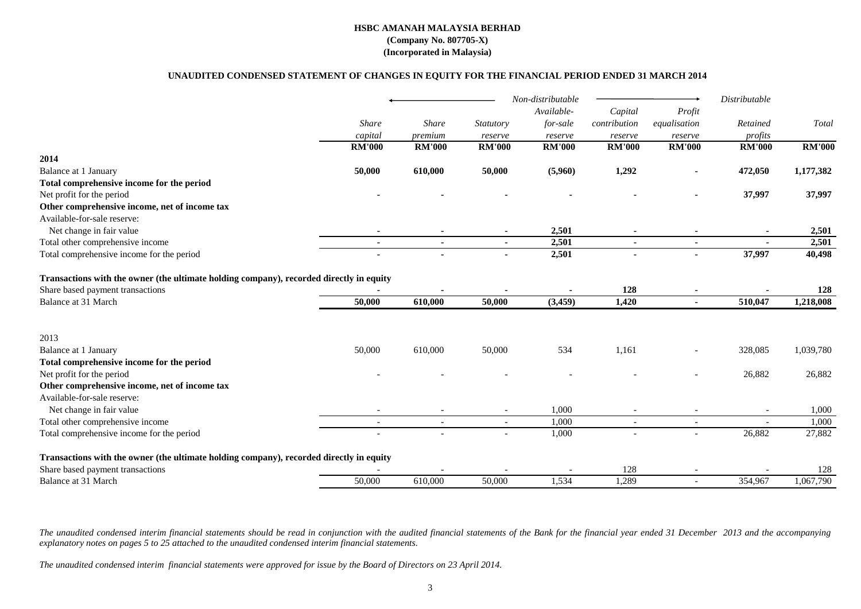# **UNAUDITED CONDENSED STATEMENT OF CHANGES IN EQUITY FOR THE FINANCIAL PERIOD ENDED 31 MARCH 2014**

|                                                                                         |                |                          |                          | Non-distributable |                          |                          | Distributable  |               |
|-----------------------------------------------------------------------------------------|----------------|--------------------------|--------------------------|-------------------|--------------------------|--------------------------|----------------|---------------|
|                                                                                         |                |                          |                          | Available-        | Capital                  | Profit                   |                |               |
|                                                                                         | <b>Share</b>   | <b>Share</b>             | Statutory                | for-sale          | contribution             | equalisation             | Retained       | Total         |
|                                                                                         | capital        | premium                  | reserve                  | reserve           | reserve                  | reserve                  | profits        |               |
|                                                                                         | <b>RM'000</b>  | <b>RM'000</b>            | <b>RM'000</b>            | <b>RM'000</b>     | <b>RM'000</b>            | <b>RM'000</b>            | <b>RM'000</b>  | <b>RM'000</b> |
| 2014                                                                                    |                |                          |                          |                   |                          |                          |                |               |
| Balance at 1 January                                                                    | 50,000         | 610,000                  | 50,000                   | (5,960)           | 1,292                    |                          | 472,050        | 1,177,382     |
| Total comprehensive income for the period                                               |                |                          |                          |                   |                          |                          |                |               |
| Net profit for the period                                                               |                |                          |                          |                   |                          |                          | 37,997         | 37,997        |
| Other comprehensive income, net of income tax                                           |                |                          |                          |                   |                          |                          |                |               |
| Available-for-sale reserve:                                                             |                |                          |                          |                   |                          |                          |                |               |
| Net change in fair value                                                                |                |                          |                          | 2,501             |                          |                          |                | 2,501         |
| Total other comprehensive income                                                        | $\sim$         |                          | $\blacksquare$           | 2,501             | $\blacksquare$           | $\sim$                   | $\blacksquare$ | 2,501         |
| Total comprehensive income for the period                                               |                |                          | $\blacksquare$           | 2,501             |                          |                          | 37,997         | 40,498        |
| Transactions with the owner (the ultimate holding company), recorded directly in equity |                |                          |                          |                   |                          |                          |                |               |
| Share based payment transactions                                                        |                |                          |                          |                   | 128                      |                          |                | 128           |
| <b>Balance at 31 March</b>                                                              | 50,000         | 610,000                  | 50,000                   | (3, 459)          | 1,420                    | ÷,                       | 510,047        | 1,218,008     |
| 2013                                                                                    |                |                          |                          |                   |                          |                          |                |               |
| Balance at 1 January                                                                    | 50,000         |                          |                          | 534               | 1,161                    |                          |                | 1,039,780     |
| Total comprehensive income for the period                                               |                | 610,000                  | 50,000                   |                   |                          |                          | 328,085        |               |
|                                                                                         |                |                          |                          |                   |                          |                          |                | 26,882        |
| Net profit for the period<br>Other comprehensive income, net of income tax              |                |                          |                          |                   |                          |                          | 26,882         |               |
| Available-for-sale reserve:                                                             |                |                          |                          |                   |                          |                          |                |               |
|                                                                                         |                |                          |                          | 1,000             |                          |                          |                | 1,000         |
| Net change in fair value<br>Total other comprehensive income                            |                |                          |                          | 1,000             |                          |                          |                | 1,000         |
|                                                                                         | $\blacksquare$ | $\overline{\phantom{a}}$ | $\overline{\phantom{a}}$ |                   | $\overline{\phantom{a}}$ | $\overline{\phantom{a}}$ |                | 27,882        |
| Total comprehensive income for the period                                               |                |                          | $\blacksquare$           | 1,000             |                          | $\overline{a}$           | 26,882         |               |
| Transactions with the owner (the ultimate holding company), recorded directly in equity |                |                          |                          |                   |                          |                          |                |               |
| Share based payment transactions                                                        |                |                          |                          |                   | 128                      |                          |                | 128           |
| <b>Balance at 31 March</b>                                                              | 50,000         | 610,000                  | 50,000                   | 1,534             | 1,289                    | $\overline{a}$           | 354,967        | 1,067,790     |

The unaudited condensed interim financial statements should be read in conjunction with the audited financial statements of the Bank for the financial year ended 31 December 2013 and the accompanying *explanatory notes on pages 5 to 25 attached to the unaudited condensed interim financial statements.*

The unaudited condensed interim financial statements were approved for issue by the Board of Directors on 23 April 2014.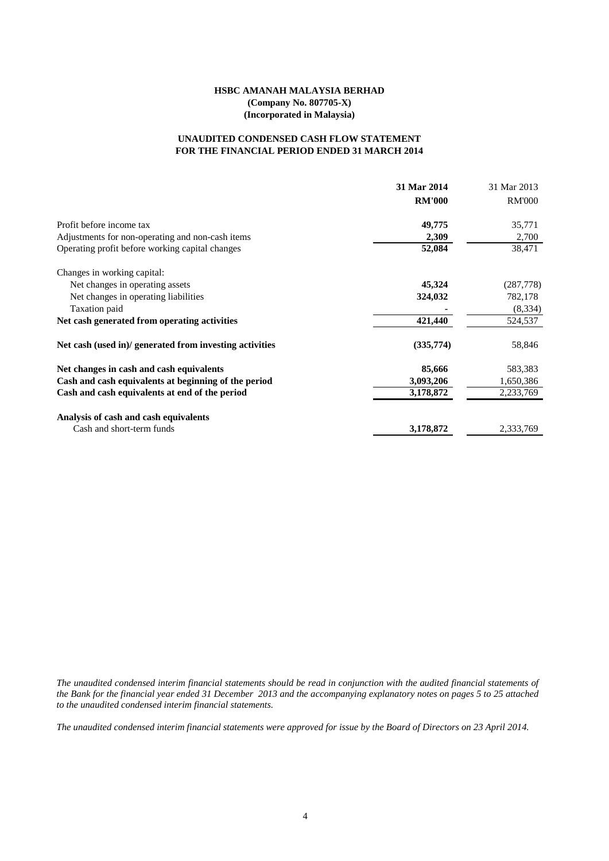### **FOR THE FINANCIAL PERIOD ENDED 31 MARCH 2014 UNAUDITED CONDENSED CASH FLOW STATEMENT**

|                                                         | 31 Mar 2014   | 31 Mar 2013   |
|---------------------------------------------------------|---------------|---------------|
|                                                         | <b>RM'000</b> | <b>RM'000</b> |
| Profit before income tax                                | 49,775        | 35,771        |
| Adjustments for non-operating and non-cash items        | 2,309         | 2,700         |
| Operating profit before working capital changes         | 52,084        | 38,471        |
| Changes in working capital:                             |               |               |
| Net changes in operating assets                         | 45,324        | (287, 778)    |
| Net changes in operating liabilities                    | 324,032       | 782,178       |
| Taxation paid                                           |               | (8, 334)      |
| Net cash generated from operating activities            | 421,440       | 524,537       |
| Net cash (used in)/ generated from investing activities | (335,774)     | 58,846        |
| Net changes in cash and cash equivalents                | 85,666        | 583,383       |
| Cash and cash equivalents at beginning of the period    | 3,093,206     | 1,650,386     |
| Cash and cash equivalents at end of the period          | 3,178,872     | 2,233,769     |
| Analysis of cash and cash equivalents                   |               |               |
| Cash and short-term funds                               | 3,178,872     | 2,333,769     |

The unaudited condensed interim financial statements should be read in conjunction with the audited financial statements of the Bank for the financial year ended 31 December 2013 and the accompanying explanatory notes on pages 5 to 25 attached *to the unaudited condensed interim financial statements.*

The unaudited condensed interim financial statements were approved for issue by the Board of Directors on 23 April 2014.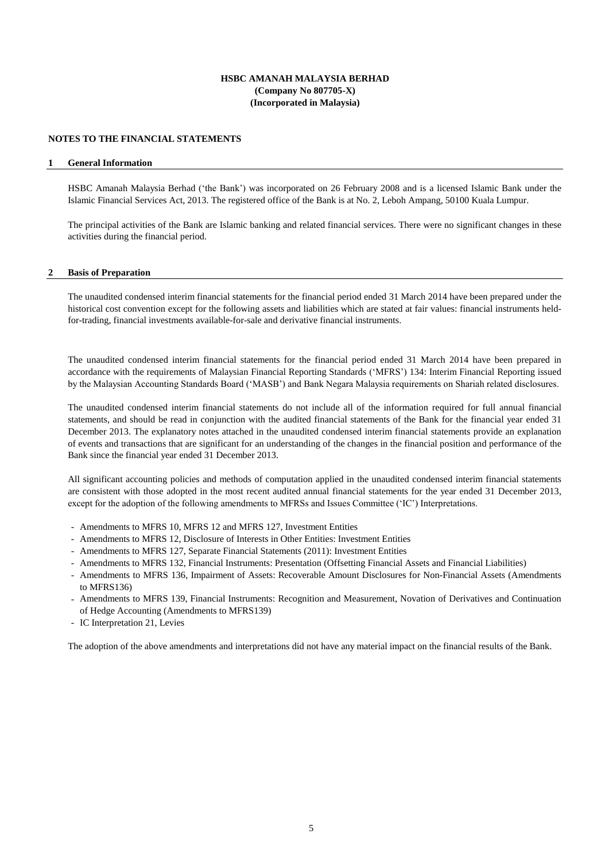#### **NOTES TO THE FINANCIAL STATEMENTS**

#### **1 General Information**

HSBC Amanah Malaysia Berhad ('the Bank') was incorporated on 26 February 2008 and is a licensed Islamic Bank under the Islamic Financial Services Act, 2013. The registered office of the Bank is at No. 2, Leboh Ampang, 50100 Kuala Lumpur.

The principal activities of the Bank are Islamic banking and related financial services. There were no significant changes in these activities during the financial period.

#### **2 Basis of Preparation**

The unaudited condensed interim financial statements for the financial period ended 31 March 2014 have been prepared under the historical cost convention except for the following assets and liabilities which are stated at fair values: financial instruments heldfor-trading, financial investments available-for-sale and derivative financial instruments.

The unaudited condensed interim financial statements for the financial period ended 31 March 2014 have been prepared in accordance with the requirements of Malaysian Financial Reporting Standards ('MFRS') 134: Interim Financial Reporting issued by the Malaysian Accounting Standards Board ('MASB') and Bank Negara Malaysia requirements on Shariah related disclosures.

The unaudited condensed interim financial statements do not include all of the information required for full annual financial statements, and should be read in conjunction with the audited financial statements of the Bank for the financial year ended 31 December 2013. The explanatory notes attached in the unaudited condensed interim financial statements provide an explanation of events and transactions that are significant for an understanding of the changes in the financial position and performance of the Bank since the financial year ended 31 December 2013.

All significant accounting policies and methods of computation applied in the unaudited condensed interim financial statements are consistent with those adopted in the most recent audited annual financial statements for the year ended 31 December 2013, except for the adoption of the following amendments to MFRSs and Issues Committee ('IC') Interpretations.

- Amendments to MFRS 10, MFRS 12 and MFRS 127, Investment Entities
- Amendments to MFRS 12, Disclosure of Interests in Other Entities: Investment Entities
- Amendments to MFRS 127, Separate Financial Statements (2011): Investment Entities
- Amendments to MFRS 132, Financial Instruments: Presentation (Offsetting Financial Assets and Financial Liabilities)
- Amendments to MFRS 136, Impairment of Assets: Recoverable Amount Disclosures for Non-Financial Assets (Amendments to MFRS136)
- Amendments to MFRS 139, Financial Instruments: Recognition and Measurement, Novation of Derivatives and Continuation of Hedge Accounting (Amendments to MFRS139)
- IC Interpretation 21, Levies

The adoption of the above amendments and interpretations did not have any material impact on the financial results of the Bank.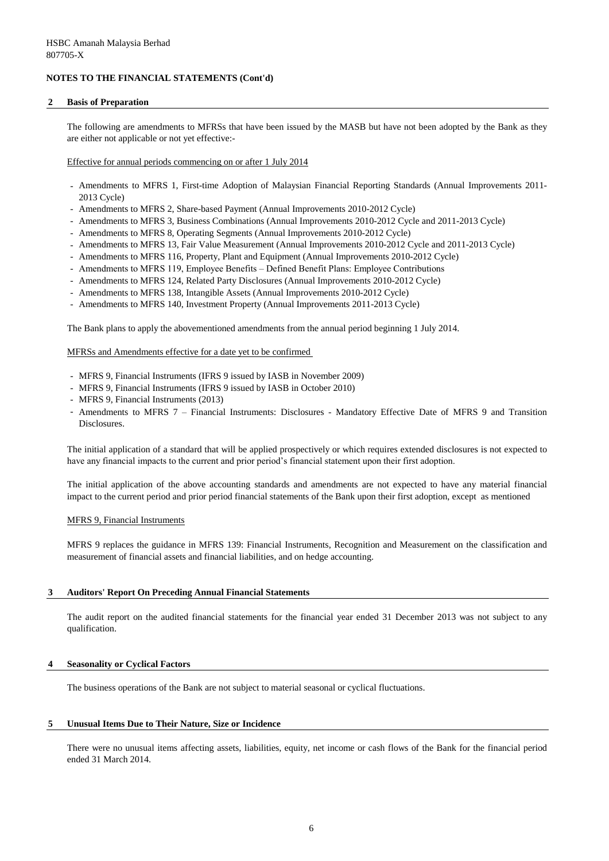#### **2 Basis of Preparation**

The following are amendments to MFRSs that have been issued by the MASB but have not been adopted by the Bank as they are either not applicable or not yet effective:-

Effective for annual periods commencing on or after 1 July 2014

- Amendments to MFRS 1, First-time Adoption of Malaysian Financial Reporting Standards (Annual Improvements 2011- 2013 Cycle)
- Amendments to MFRS 2, Share-based Payment (Annual Improvements 2010-2012 Cycle)
- Amendments to MFRS 3, Business Combinations (Annual Improvements 2010-2012 Cycle and 2011-2013 Cycle)
- Amendments to MFRS 8, Operating Segments (Annual Improvements 2010-2012 Cycle)
- Amendments to MFRS 13, Fair Value Measurement (Annual Improvements 2010-2012 Cycle and 2011-2013 Cycle)
- Amendments to MFRS 116, Property, Plant and Equipment (Annual Improvements 2010-2012 Cycle)
- Amendments to MFRS 119, Employee Benefits Defined Benefit Plans: Employee Contributions
- Amendments to MFRS 124, Related Party Disclosures (Annual Improvements 2010-2012 Cycle)
- Amendments to MFRS 138, Intangible Assets (Annual Improvements 2010-2012 Cycle)
- Amendments to MFRS 140, Investment Property (Annual Improvements 2011-2013 Cycle)

The Bank plans to apply the abovementioned amendments from the annual period beginning 1 July 2014.

#### MFRSs and Amendments effective for a date yet to be confirmed

- MFRS 9, Financial Instruments (IFRS 9 issued by IASB in November 2009)
- MFRS 9, Financial Instruments (IFRS 9 issued by IASB in October 2010)
- MFRS 9, Financial Instruments (2013)
- Amendments to MFRS 7 Financial Instruments: Disclosures Mandatory Effective Date of MFRS 9 and Transition Disclosures.

The initial application of a standard that will be applied prospectively or which requires extended disclosures is not expected to have any financial impacts to the current and prior period's financial statement upon their first adoption.

The initial application of the above accounting standards and amendments are not expected to have any material financial impact to the current period and prior period financial statements of the Bank upon their first adoption, except as mentioned

MFRS 9, Financial Instruments

MFRS 9 replaces the guidance in MFRS 139: Financial Instruments, Recognition and Measurement on the classification and measurement of financial assets and financial liabilities, and on hedge accounting.

#### **3 Auditors' Report On Preceding Annual Financial Statements**

The audit report on the audited financial statements for the financial year ended 31 December 2013 was not subject to any qualification.

### **4 Seasonality or Cyclical Factors**

The business operations of the Bank are not subject to material seasonal or cyclical fluctuations.

#### **5 Unusual Items Due to Their Nature, Size or Incidence**

There were no unusual items affecting assets, liabilities, equity, net income or cash flows of the Bank for the financial period ended 31 March 2014.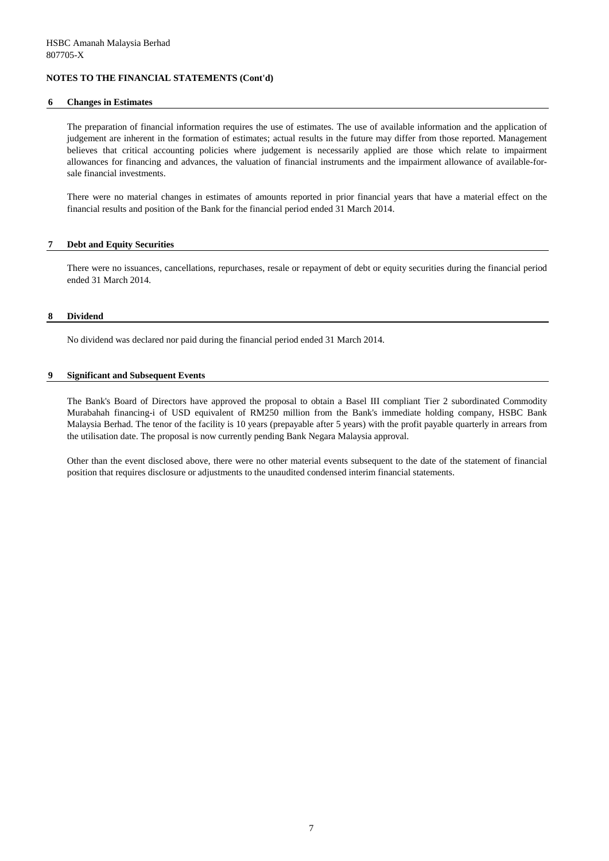#### **6 Changes in Estimates**

The preparation of financial information requires the use of estimates. The use of available information and the application of judgement are inherent in the formation of estimates; actual results in the future may differ from those reported. Management believes that critical accounting policies where judgement is necessarily applied are those which relate to impairment allowances for financing and advances, the valuation of financial instruments and the impairment allowance of available-forsale financial investments.

There were no material changes in estimates of amounts reported in prior financial years that have a material effect on the financial results and position of the Bank for the financial period ended 31 March 2014.

### **7 Debt and Equity Securities**

There were no issuances, cancellations, repurchases, resale or repayment of debt or equity securities during the financial period ended 31 March 2014.

#### **8 Dividend**

No dividend was declared nor paid during the financial period ended 31 March 2014.

#### **9 Significant and Subsequent Events**

The Bank's Board of Directors have approved the proposal to obtain a Basel III compliant Tier 2 subordinated Commodity Murabahah financing-i of USD equivalent of RM250 million from the Bank's immediate holding company, HSBC Bank Malaysia Berhad. The tenor of the facility is 10 years (prepayable after 5 years) with the profit payable quarterly in arrears from the utilisation date. The proposal is now currently pending Bank Negara Malaysia approval.

Other than the event disclosed above, there were no other material events subsequent to the date of the statement of financial position that requires disclosure or adjustments to the unaudited condensed interim financial statements.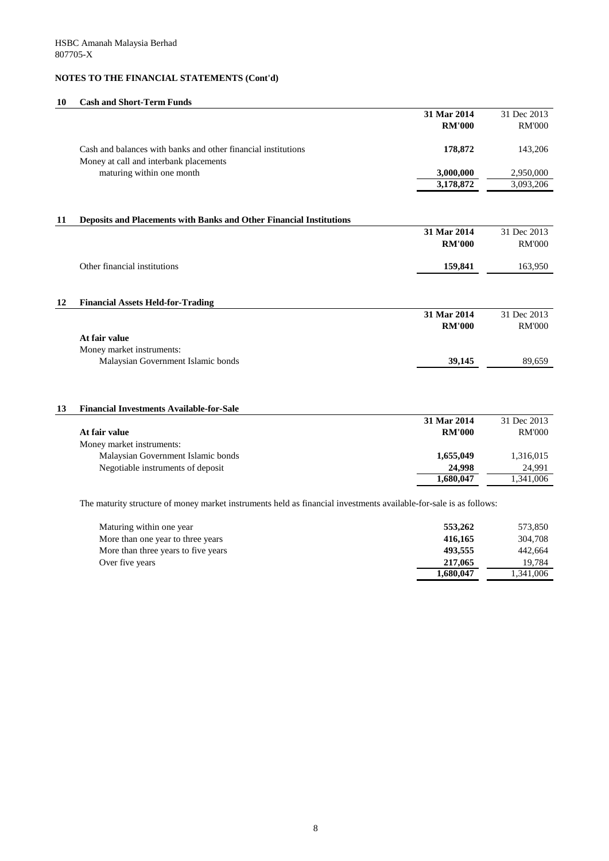# **10 Cash and Short-Term Funds**

| <b>RM'000</b><br>Cash and balances with banks and other financial institutions<br>178,872<br>Money at call and interbank placements<br>maturing within one month<br>3,000,000<br>3,178,872<br>Deposits and Placements with Banks and Other Financial Institutions<br>31 Mar 2014<br><b>RM'000</b><br>Other financial institutions<br>159,841<br><b>Financial Assets Held-for-Trading</b><br>31 Mar 2014<br><b>RM'000</b><br>At fair value<br>Money market instruments:<br>Malaysian Government Islamic bonds<br>39,145<br><b>Financial Investments Available-for-Sale</b><br>31 Mar 2014<br><b>RM'000</b><br>At fair value<br>Money market instruments:<br>Malaysian Government Islamic bonds<br>1,655,049<br>Negotiable instruments of deposit<br>24,998<br>1,680,047 |  | 31 Mar 2014 | 31 Dec 2013   |
|------------------------------------------------------------------------------------------------------------------------------------------------------------------------------------------------------------------------------------------------------------------------------------------------------------------------------------------------------------------------------------------------------------------------------------------------------------------------------------------------------------------------------------------------------------------------------------------------------------------------------------------------------------------------------------------------------------------------------------------------------------------------|--|-------------|---------------|
| 11<br>12<br>13                                                                                                                                                                                                                                                                                                                                                                                                                                                                                                                                                                                                                                                                                                                                                         |  |             | <b>RM'000</b> |
|                                                                                                                                                                                                                                                                                                                                                                                                                                                                                                                                                                                                                                                                                                                                                                        |  |             | 143,206       |
|                                                                                                                                                                                                                                                                                                                                                                                                                                                                                                                                                                                                                                                                                                                                                                        |  |             | 2,950,000     |
|                                                                                                                                                                                                                                                                                                                                                                                                                                                                                                                                                                                                                                                                                                                                                                        |  |             | 3,093,206     |
|                                                                                                                                                                                                                                                                                                                                                                                                                                                                                                                                                                                                                                                                                                                                                                        |  |             |               |
|                                                                                                                                                                                                                                                                                                                                                                                                                                                                                                                                                                                                                                                                                                                                                                        |  |             |               |
|                                                                                                                                                                                                                                                                                                                                                                                                                                                                                                                                                                                                                                                                                                                                                                        |  |             | 31 Dec 2013   |
|                                                                                                                                                                                                                                                                                                                                                                                                                                                                                                                                                                                                                                                                                                                                                                        |  |             | <b>RM'000</b> |
|                                                                                                                                                                                                                                                                                                                                                                                                                                                                                                                                                                                                                                                                                                                                                                        |  |             | 163,950       |
|                                                                                                                                                                                                                                                                                                                                                                                                                                                                                                                                                                                                                                                                                                                                                                        |  |             |               |
|                                                                                                                                                                                                                                                                                                                                                                                                                                                                                                                                                                                                                                                                                                                                                                        |  |             |               |
|                                                                                                                                                                                                                                                                                                                                                                                                                                                                                                                                                                                                                                                                                                                                                                        |  |             | 31 Dec 2013   |
|                                                                                                                                                                                                                                                                                                                                                                                                                                                                                                                                                                                                                                                                                                                                                                        |  |             | <b>RM'000</b> |
|                                                                                                                                                                                                                                                                                                                                                                                                                                                                                                                                                                                                                                                                                                                                                                        |  |             |               |
|                                                                                                                                                                                                                                                                                                                                                                                                                                                                                                                                                                                                                                                                                                                                                                        |  |             |               |
|                                                                                                                                                                                                                                                                                                                                                                                                                                                                                                                                                                                                                                                                                                                                                                        |  |             | 89,659        |
|                                                                                                                                                                                                                                                                                                                                                                                                                                                                                                                                                                                                                                                                                                                                                                        |  |             |               |
|                                                                                                                                                                                                                                                                                                                                                                                                                                                                                                                                                                                                                                                                                                                                                                        |  |             |               |
|                                                                                                                                                                                                                                                                                                                                                                                                                                                                                                                                                                                                                                                                                                                                                                        |  |             | 31 Dec 2013   |
|                                                                                                                                                                                                                                                                                                                                                                                                                                                                                                                                                                                                                                                                                                                                                                        |  |             | <b>RM'000</b> |
|                                                                                                                                                                                                                                                                                                                                                                                                                                                                                                                                                                                                                                                                                                                                                                        |  |             |               |
|                                                                                                                                                                                                                                                                                                                                                                                                                                                                                                                                                                                                                                                                                                                                                                        |  |             | 1,316,015     |
|                                                                                                                                                                                                                                                                                                                                                                                                                                                                                                                                                                                                                                                                                                                                                                        |  |             | 24,991        |
|                                                                                                                                                                                                                                                                                                                                                                                                                                                                                                                                                                                                                                                                                                                                                                        |  |             | 1,341,006     |

The maturity structure of money market instruments held as financial investments available-for-sale is as follows:

| Maturing within one year            | 553,262   | 573,850   |
|-------------------------------------|-----------|-----------|
| More than one year to three years   | 416,165   | 304,708   |
| More than three years to five years | 493,555   | 442,664   |
| Over five years                     | 217,065   | 19.784    |
|                                     | 1,680,047 | 1,341,006 |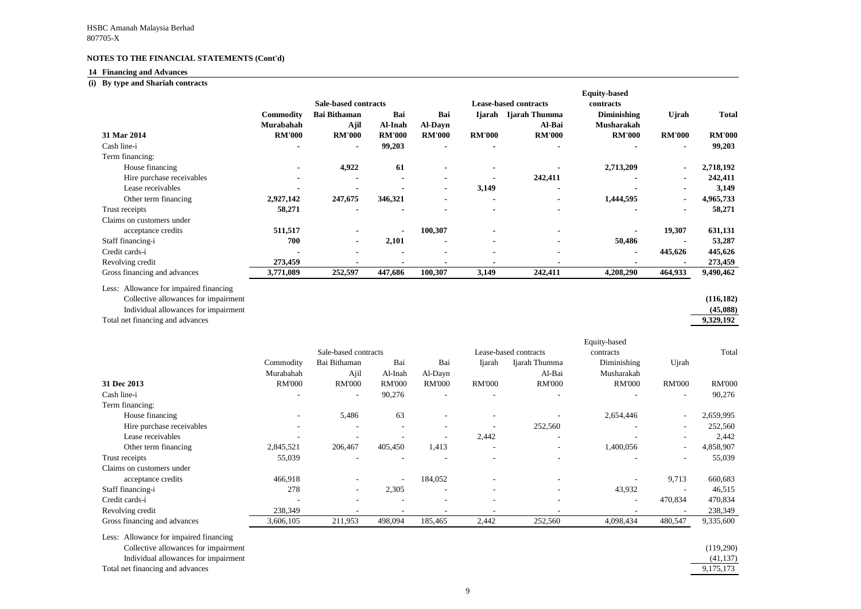#### **14 Financing and Advances**

# **(i) By type and Shariah contracts**

Less: Allowance for impaired financing Collective allowances for impairment **(116,182)**

Individual allowances for impairment **(45,088)**

Total net financing and advances

| uity-based         |               |               |
|--------------------|---------------|---------------|
| contracts          |               |               |
| <b>Diminishing</b> | <b>U</b> jrah | <b>Total</b>  |
| <b>Musharakah</b>  |               |               |
| <b>RM'000</b>      | <b>RM'000</b> | <b>RM'000</b> |
|                    |               | 99,203        |
| 2,713,209          |               | 2,718,192     |
|                    |               | 242,411       |
|                    |               | 3,149         |
| 1,444,595          |               | 4,965,733     |
|                    |               | 58,271        |
|                    |               |               |
|                    | 19,307        | 631,131       |
| 50,486             |               | 53,287        |
|                    | 445,626       | 445,626       |
|                    |               | 273,459       |
| 4,208,290          | 464,933       | 9,490,462     |
|                    |               |               |
|                    |               | (116, 182)    |
|                    |               | (45,088)      |
|                    |               | 9,329,192     |
|                    |               |               |
| quity-based        |               |               |
| contracts          |               | Total         |
| Diminishing        | Ujrah         |               |
| Musharakah         |               |               |
| <b>RM'000</b>      | <b>RM'000</b> | <b>RM'000</b> |
|                    |               | 90,276        |
|                    |               |               |
| 2,654,446          |               | 2,659,995     |
|                    |               | 252,560       |
|                    |               | 2,442         |
| 1,400,056          |               | 4,858,907     |
|                    |               | 55,039        |
|                    | 9,713         | 660,683       |
|                    |               |               |
| 43,932             |               | 46,515        |
|                    | 470,834       | 470,834       |
|                    |               | 238,349       |
| 4,098,434          | 480,547       | 9,335,600     |
|                    |               |               |
|                    |               | (119.290)     |

|                              |                  |                             |                |                          |                |                              | <b>Equity-based</b> |                |               |
|------------------------------|------------------|-----------------------------|----------------|--------------------------|----------------|------------------------------|---------------------|----------------|---------------|
|                              |                  | <b>Sale-based contracts</b> |                |                          |                | <b>Lease-based contracts</b> | contracts           |                |               |
|                              | <b>Commodity</b> | <b>Bai Bithaman</b>         | Bai            | Bai                      | Ijarah         | Ijarah Thumma                | <b>Diminishing</b>  | Ujrah          | Total         |
|                              | Murabahah        | Ajil                        | Al-Inah        | <b>Al-Dayn</b>           |                | Al-Bai                       | <b>Musharakah</b>   |                |               |
| 31 Mar 2014                  | <b>RM'000</b>    | <b>RM'000</b>               | <b>RM'000</b>  | <b>RM'000</b>            | <b>RM'000</b>  | <b>RM'000</b>                | <b>RM'000</b>       | <b>RM'000</b>  | <b>RM'000</b> |
| Cash line-i                  |                  | $\blacksquare$              | 99,203         | $\blacksquare$           | $\blacksquare$ |                              |                     | $\blacksquare$ | 99,203        |
| Term financing:              |                  |                             |                |                          |                |                              |                     |                |               |
| House financing              | $\blacksquare$   | 4,922                       | 61             |                          |                |                              | 2,713,209           |                | 2,718,192     |
| Hire purchase receivables    |                  |                             | $\blacksquare$ |                          |                | 242,411                      |                     |                | 242,411       |
| Lease receivables            |                  |                             |                | $\blacksquare$           | 3,149          |                              |                     |                | 3,149         |
| Other term financing         | 2,927,142        | 247,675                     | 346,321        |                          |                |                              | 1,444,595           |                | 4,965,733     |
| Trust receipts               | 58,271           |                             |                |                          |                |                              |                     |                | 58,271        |
| Claims on customers under    |                  |                             |                |                          |                |                              |                     |                |               |
| acceptance credits           | 511,517          |                             | $\blacksquare$ | 100,307                  |                |                              |                     | 19,307         | 631,131       |
| Staff financing-i            | 700              | $\sim$                      | 2,101          | $\overline{\phantom{0}}$ | $\blacksquare$ |                              | 50,486              |                | 53,287        |
| Credit cards-i               |                  |                             | $\blacksquare$ | $\blacksquare$           | $\blacksquare$ |                              |                     | 445,626        | 445,626       |
| Revolving credit             | 273,459          |                             |                |                          |                |                              |                     |                | 273,459       |
| Gross financing and advances | 3,771,089        | 252,597                     | 447,686        | 100,307                  | 3,149          | 242,411                      | 4,208,290           | 464,933        | 9,490,462     |

| (119,290) |
|-----------|
| (41, 137) |
| 9,175,173 |
|           |

|                              |               |                          |                          |                          |                          |                                    | Equity-based             |                          |               |  |
|------------------------------|---------------|--------------------------|--------------------------|--------------------------|--------------------------|------------------------------------|--------------------------|--------------------------|---------------|--|
|                              |               | Sale-based contracts     |                          |                          |                          | Lease-based contracts<br>contracts |                          |                          | Total         |  |
|                              | Commodity     | Bai Bithaman             | Bai                      | Bai                      | <b>Ijarah</b>            | Ijarah Thumma                      | Diminishing              | Ujrah                    |               |  |
|                              | Murabahah     | Ajil                     | Al-Inah                  | Al-Dayn                  |                          | Al-Bai                             | Musharakah               |                          |               |  |
| 31 Dec 2013                  | <b>RM'000</b> | <b>RM'000</b>            | <b>RM'000</b>            | <b>RM'000</b>            | <b>RM'000</b>            | <b>RM'000</b>                      | <b>RM'000</b>            | <b>RM'000</b>            | <b>RM'000</b> |  |
| Cash line-i                  |               | $\overline{\phantom{a}}$ | 90,276                   | $\overline{a}$           | $\overline{\phantom{0}}$ |                                    |                          | $\overline{\phantom{a}}$ | 90,276        |  |
| Term financing:              |               |                          |                          |                          |                          |                                    |                          |                          |               |  |
| House financing              |               | 5,486                    | 63                       | $\overline{\phantom{a}}$ |                          |                                    | 2,654,446                | $\overline{\phantom{a}}$ | 2,659,995     |  |
| Hire purchase receivables    |               | $\overline{\phantom{a}}$ | $\overline{\phantom{a}}$ | $\overline{\phantom{a}}$ |                          | 252,560                            |                          | $\overline{\phantom{a}}$ | 252,560       |  |
| Lease receivables            |               |                          |                          | $\overline{\phantom{a}}$ | 2,442                    |                                    |                          |                          | 2,442         |  |
| Other term financing         | 2,845,521     | 206,467                  | 405,450                  | 1,413                    | $\overline{\phantom{0}}$ |                                    | 1,400,056                | $\overline{\phantom{a}}$ | 4,858,907     |  |
| Trust receipts               | 55,039        |                          |                          |                          |                          |                                    |                          |                          | 55,039        |  |
| Claims on customers under    |               |                          |                          |                          |                          |                                    |                          |                          |               |  |
| acceptance credits           | 466,918       |                          | $\overline{\phantom{a}}$ | 184,052                  |                          |                                    |                          | 9,713                    | 660,683       |  |
| Staff financing-i            | 278           | $\overline{\phantom{0}}$ | 2,305                    | $\overline{\phantom{a}}$ | $\overline{\phantom{a}}$ |                                    | 43,932                   |                          | 46,515        |  |
| Credit cards-i               |               |                          | $\overline{\phantom{a}}$ | $\overline{\phantom{0}}$ | $\overline{\phantom{a}}$ |                                    | $\overline{\phantom{0}}$ | 470,834                  | 470,834       |  |
| Revolving credit             | 238,349       |                          |                          |                          |                          |                                    |                          |                          | 238,349       |  |
| Gross financing and advances | 3,606,105     | 211,953                  | 498,094                  | 185,465                  | 2,442                    | 252,560                            | 4,098,434                | 480,547                  | 9,335,600     |  |

Less: Allowance for impaired financing

Collective allowances for impairment

Individual allowances for impairment (41,137) and  $\frac{1}{1,1}$ 

Total net financing and advances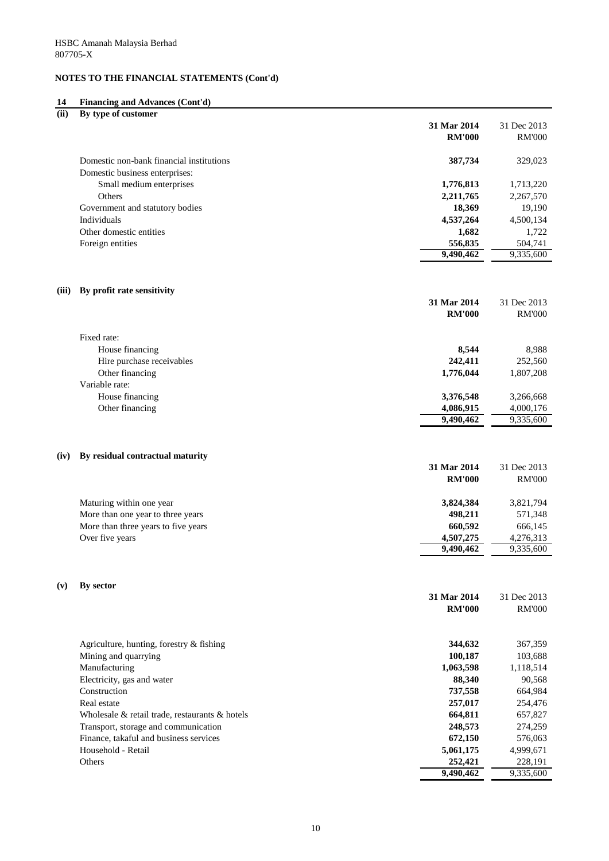# **14 Financing and Advances (Cont'd)**

| (ii)  | By type of customer                            |               |                              |
|-------|------------------------------------------------|---------------|------------------------------|
|       |                                                | 31 Mar 2014   | 31 Dec 2013                  |
|       |                                                | <b>RM'000</b> | <b>RM'000</b>                |
|       | Domestic non-bank financial institutions       | 387,734       | 329,023                      |
|       | Domestic business enterprises:                 |               |                              |
|       | Small medium enterprises                       | 1,776,813     | 1,713,220                    |
|       | Others                                         | 2,211,765     | 2,267,570                    |
|       | Government and statutory bodies                | 18,369        | 19,190                       |
|       | Individuals                                    | 4,537,264     | 4,500,134                    |
|       | Other domestic entities                        | 1,682         | 1,722                        |
|       | Foreign entities                               | 556,835       | 504,741                      |
|       |                                                | 9,490,462     | 9,335,600                    |
| (iii) | By profit rate sensitivity                     |               |                              |
|       |                                                | 31 Mar 2014   | 31 Dec 2013                  |
|       |                                                | <b>RM'000</b> | <b>RM'000</b>                |
|       | Fixed rate:                                    |               |                              |
|       | House financing                                | 8,544         | 8,988                        |
|       | Hire purchase receivables                      | 242,411       | 252,560                      |
|       | Other financing                                | 1,776,044     | 1,807,208                    |
|       | Variable rate:                                 |               |                              |
|       | House financing                                | 3,376,548     | 3,266,668                    |
|       | Other financing                                | 4,086,915     | 4,000,176                    |
|       |                                                | 9,490,462     | 9,335,600                    |
|       | (iv) By residual contractual maturity          |               |                              |
|       |                                                | 31 Mar 2014   | 31 Dec 2013                  |
|       |                                                | <b>RM'000</b> | <b>RM'000</b>                |
|       | Maturing within one year                       | 3,824,384     | 3,821,794                    |
|       | More than one year to three years              | 498,211       | 571,348                      |
|       | More than three years to five years            | 660,592       | 666,145                      |
|       | Over five years                                | 4,507,275     | 4,276,313                    |
|       |                                                | 9,490,462     | 9,335,600                    |
|       |                                                |               |                              |
| (v)   | By sector                                      | 31 Mar 2014   |                              |
|       |                                                | <b>RM'000</b> | 31 Dec 2013<br><b>RM'000</b> |
|       |                                                |               |                              |
|       | Agriculture, hunting, forestry & fishing       | 344,632       | 367,359                      |
|       | Mining and quarrying                           | 100,187       | 103,688                      |
|       | Manufacturing                                  | 1,063,598     | 1,118,514                    |
|       | Electricity, gas and water                     | 88,340        | 90,568                       |
|       | Construction                                   | 737,558       | 664,984                      |
|       | Real estate                                    | 257,017       | 254,476                      |
|       | Wholesale & retail trade, restaurants & hotels | 664,811       | 657,827                      |
|       | Transport, storage and communication           | 248,573       | 274,259                      |
|       | Finance, takaful and business services         | 672,150       | 576,063                      |
|       | Household - Retail                             | 5,061,175     | 4,999,671                    |

**9,490,462** 9,335,600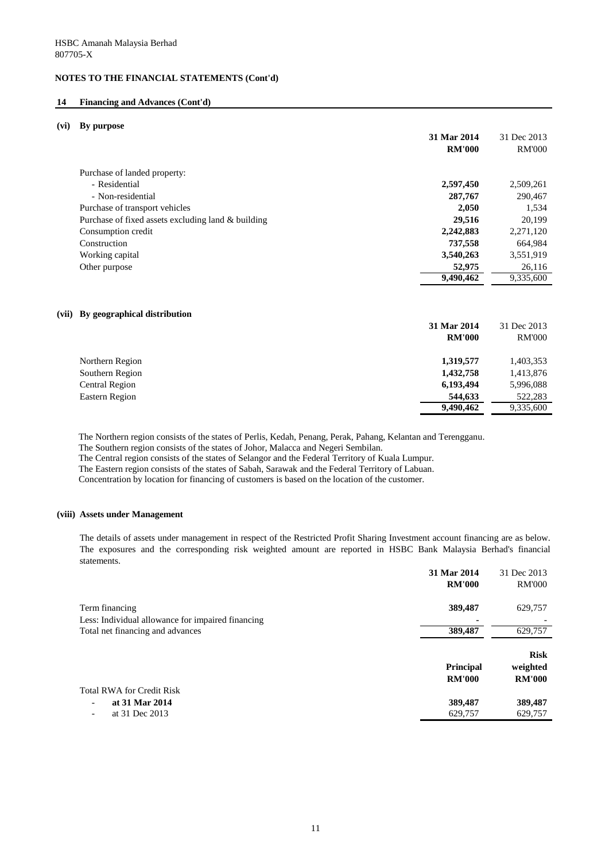#### **14 Financing and Advances (Cont'd)**

#### **(vi) By purpose**

|                                                    | 31 Mar 2014<br><b>RM'000</b> | 31 Dec 2013<br><b>RM'000</b> |
|----------------------------------------------------|------------------------------|------------------------------|
| Purchase of landed property:                       |                              |                              |
| - Residential                                      | 2,597,450                    | 2,509,261                    |
| - Non-residential                                  | 287,767                      | 290,467                      |
| Purchase of transport vehicles                     | 2,050                        | 1,534                        |
| Purchase of fixed assets excluding land & building | 29,516                       | 20,199                       |
| Consumption credit                                 | 2,242,883                    | 2,271,120                    |
| Construction                                       | 737,558                      | 664,984                      |
| Working capital                                    | 3,540,263                    | 3,551,919                    |
| Other purpose                                      | 52,975                       | 26,116                       |
|                                                    | 9,490,462                    | 9,335,600                    |
|                                                    |                              |                              |

### **(vii) By geographical distribution**

|                       | 31 Mar 2014   | 31 Dec 2013   |
|-----------------------|---------------|---------------|
|                       | <b>RM'000</b> | <b>RM'000</b> |
| Northern Region       | 1,319,577     | 1,403,353     |
| Southern Region       | 1,432,758     | 1,413,876     |
| <b>Central Region</b> | 6,193,494     | 5,996,088     |
| <b>Eastern Region</b> | 544,633       | 522,283       |
|                       | 9,490,462     | 9,335,600     |

The Northern region consists of the states of Perlis, Kedah, Penang, Perak, Pahang, Kelantan and Terengganu.

The Southern region consists of the states of Johor, Malacca and Negeri Sembilan.

The Central region consists of the states of Selangor and the Federal Territory of Kuala Lumpur.

The Eastern region consists of the states of Sabah, Sarawak and the Federal Territory of Labuan.

Concentration by location for financing of customers is based on the location of the customer.

#### **(viii) Assets under Management**

The details of assets under management in respect of the Restricted Profit Sharing Investment account financing are as below. The exposures and the corresponding risk weighted amount are reported in HSBC Bank Malaysia Berhad's financial statements.

|                                                   | 31 Mar 2014<br><b>RM'000</b>      | 31 Dec 2013<br><b>RM'000</b>             |
|---------------------------------------------------|-----------------------------------|------------------------------------------|
| Term financing                                    | 389,487                           | 629,757                                  |
| Less: Individual allowance for impaired financing |                                   |                                          |
| Total net financing and advances                  | 389,487                           | 629,757                                  |
|                                                   | <b>Principal</b><br><b>RM'000</b> | <b>Risk</b><br>weighted<br><b>RM'000</b> |
| <b>Total RWA for Credit Risk</b>                  |                                   |                                          |
| at 31 Mar 2014<br>$\overline{\phantom{a}}$        | 389,487                           | 389,487                                  |
| at 31 Dec 2013<br>$\overline{\phantom{0}}$        | 629,757                           | 629,757                                  |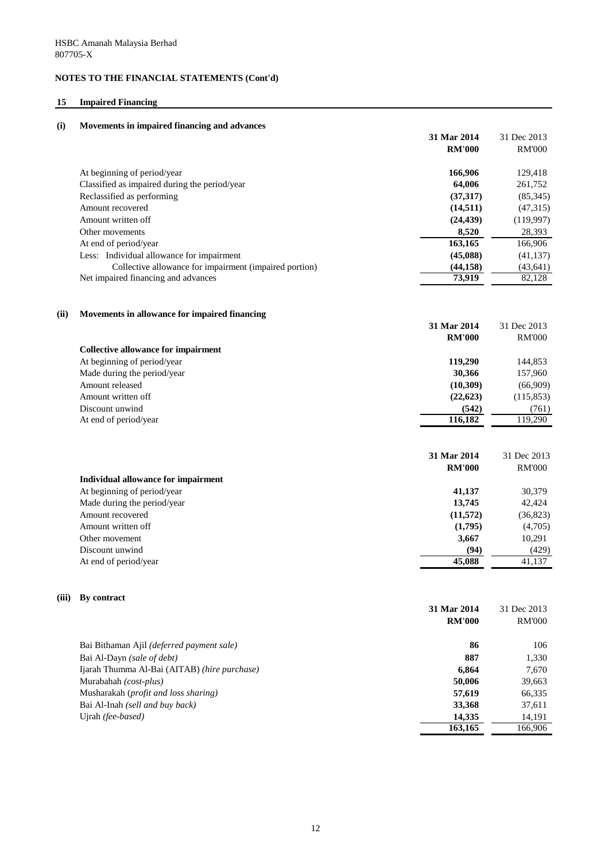# **15 Impaired Financing**

| (i)   | Movements in impaired financing and advances                              |                                        |                                        |
|-------|---------------------------------------------------------------------------|----------------------------------------|----------------------------------------|
|       |                                                                           | 31 Mar 2014                            | 31 Dec 2013                            |
|       |                                                                           | <b>RM'000</b>                          | <b>RM'000</b>                          |
|       | At beginning of period/year                                               | 166,906                                | 129,418                                |
|       | Classified as impaired during the period/year                             | 64,006                                 | 261,752                                |
|       | Reclassified as performing                                                | (37, 317)                              | (85,345)                               |
|       | Amount recovered                                                          | (14,511)                               | (47,315)                               |
|       | Amount written off                                                        | (24, 439)                              | (119,997)                              |
|       | Other movements                                                           | 8,520                                  | 28,393                                 |
|       | At end of period/year                                                     | 163,165                                | 166,906                                |
|       | Less: Individual allowance for impairment                                 | (45,088)                               | (41, 137)                              |
|       | Collective allowance for impairment (impaired portion)                    | (44, 158)                              | (43, 641)                              |
|       | Net impaired financing and advances                                       | 73,919                                 | 82,128                                 |
| (ii)  | Movements in allowance for impaired financing                             |                                        |                                        |
|       |                                                                           | 31 Mar 2014                            | 31 Dec 2013                            |
|       |                                                                           | <b>RM'000</b>                          | <b>RM'000</b>                          |
|       | <b>Collective allowance for impairment</b>                                |                                        |                                        |
|       | At beginning of period/year                                               | 119,290                                | 144,853                                |
|       | Made during the period/year                                               | 30,366                                 | 157,960                                |
|       | Amount released                                                           | (10, 309)                              | (66,909)                               |
|       | Amount written off                                                        | (22, 623)                              | (115, 853)                             |
|       | Discount unwind                                                           | (542)                                  | (761)                                  |
|       | At end of period/year                                                     | 116,182                                | 119,290                                |
|       | <b>Individual allowance for impairment</b><br>At beginning of period/year | 31 Mar 2014<br><b>RM'000</b><br>41,137 | 31 Dec 2013<br><b>RM'000</b><br>30,379 |
|       | Made during the period/year                                               | 13,745                                 | 42,424                                 |
|       | Amount recovered                                                          | (11,572)                               | (36,823)                               |
|       | Amount written off                                                        | (1,795)                                | (4,705)                                |
|       | Other movement                                                            | 3,667                                  | 10,291                                 |
|       | Discount unwind                                                           | (94)                                   | (429)                                  |
|       | At end of period/year                                                     | 45,088                                 | 41,137                                 |
| (iii) | By contract                                                               |                                        |                                        |
|       |                                                                           | 31 Mar 2014<br><b>RM'000</b>           | 31 Dec 2013                            |
|       |                                                                           |                                        | <b>RM'000</b>                          |
|       | Bai Bithaman Ajil (deferred payment sale)                                 | 86                                     | 106                                    |
|       | Bai Al-Dayn (sale of debt)                                                | 887                                    | 1,330                                  |
|       | Ijarah Thumma Al-Bai (AITAB) (hire purchase)                              | 6,864                                  | 7,670                                  |
|       | Murabahah (cost-plus)                                                     | 50,006                                 | 39,663                                 |
|       | Musharakah (profit and loss sharing)                                      | 57,619                                 | 66,335                                 |
|       | Bai Al-Inah (sell and buy back)                                           | 33,368                                 | 37,611                                 |
|       | Ujrah (fee-based)                                                         | 14,335                                 | 14,191                                 |
|       |                                                                           | 163,165                                | 166,906                                |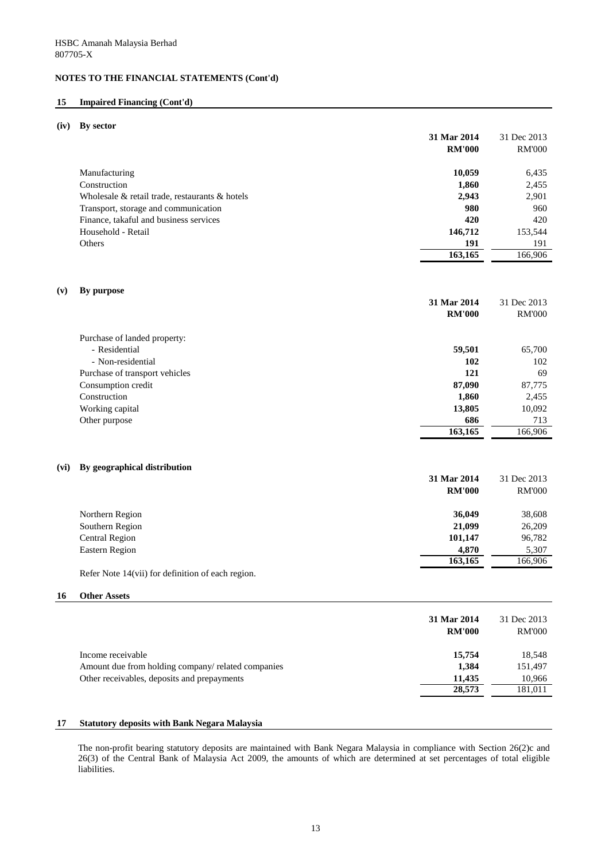#### **15 Impaired Financing (Cont'd)**

#### **(iv) By sector**

| 31 Mar 2014                                          |        | 31 Dec 2013   |
|------------------------------------------------------|--------|---------------|
| <b>RM'000</b>                                        |        | <b>RM'000</b> |
| Manufacturing                                        | 10,059 | 6,435         |
| Construction                                         | 1,860  | 2,455         |
| Wholesale $\&$ retail trade, restaurants $\&$ hotels | 2,943  | 2,901         |
| Transport, storage and communication                 | 980    | 960           |
| Finance, takaful and business services               | 420    | 420           |
| Household - Retail<br>146,712                        |        | 153,544       |
| Others                                               | 191    | 191           |
| 163,165                                              |        | 166,906       |

#### **(v) By purpose**

|                                | 31 Mar 2014   | 31 Dec 2013   |
|--------------------------------|---------------|---------------|
|                                | <b>RM'000</b> | <b>RM'000</b> |
| Purchase of landed property:   |               |               |
| - Residential                  | 59,501        | 65,700        |
| - Non-residential              | 102           | 102           |
| Purchase of transport vehicles | 121           | 69            |
| Consumption credit             | 87,090        | 87,775        |
| Construction                   | 1,860         | 2,455         |
| Working capital                | 13,805        | 10,092        |
| Other purpose                  | 686           | 713           |
|                                | 163,165       | 166,906       |

#### **(vi) By geographical distribution**

|                       | 31 Mar 2014   | 31 Dec 2013   |
|-----------------------|---------------|---------------|
|                       | <b>RM'000</b> | <b>RM'000</b> |
| Northern Region       | 36,049        | 38,608        |
| Southern Region       | 21,099        | 26,209        |
| <b>Central Region</b> | 101,147       | 96,782        |
| Eastern Region        | 4,870         | 5,307         |
|                       | 163,165       | 166,906       |

Refer Note 14(vii) for definition of each region.

#### **16 Other Assets**

| 31 Mar 2014<br><b>RM'000</b>                                | 31 Dec 2013<br><b>RM'000</b> |
|-------------------------------------------------------------|------------------------------|
| 15,754<br>Income receivable                                 | 18,548                       |
| 1,384<br>Amount due from holding company/ related companies | 151,497                      |
| Other receivables, deposits and prepayments<br>11,435       | 10,966                       |
| 28,573                                                      | 181,011                      |

#### **17 Statutory deposits with Bank Negara Malaysia**

The non-profit bearing statutory deposits are maintained with Bank Negara Malaysia in compliance with Section 26(2)c and 26(3) of the Central Bank of Malaysia Act 2009, the amounts of which are determined at set percentages of total eligible liabilities.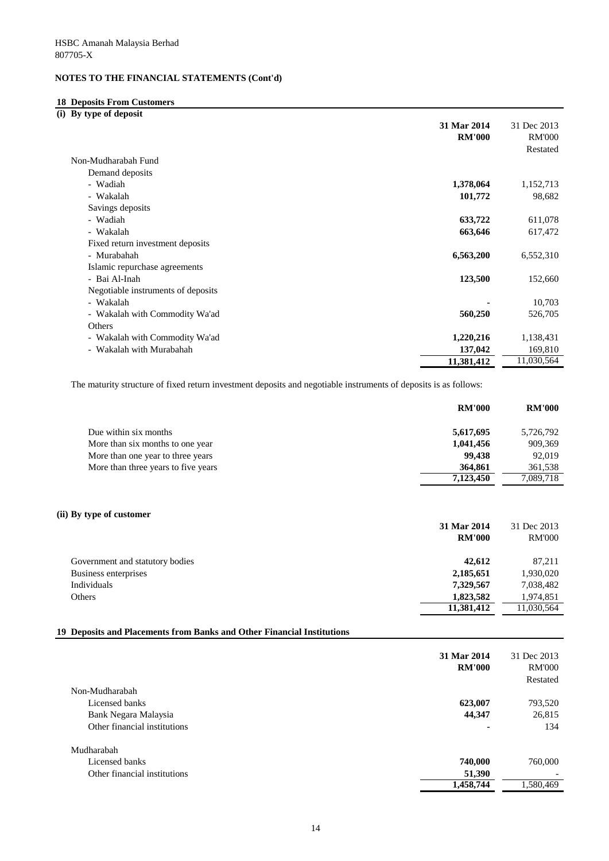# **18 Deposits From Customers**

**(i) By type of deposit**

|                                    | 31 Mar 2014   | 31 Dec 2013   |
|------------------------------------|---------------|---------------|
|                                    | <b>RM'000</b> | <b>RM'000</b> |
|                                    |               | Restated      |
| Non-Mudharabah Fund                |               |               |
| Demand deposits                    |               |               |
| - Wadiah                           | 1,378,064     | 1,152,713     |
| - Wakalah                          | 101,772       | 98,682        |
| Savings deposits                   |               |               |
| - Wadiah                           | 633,722       | 611,078       |
| - Wakalah                          | 663,646       | 617,472       |
| Fixed return investment deposits   |               |               |
| - Murabahah                        | 6,563,200     | 6,552,310     |
| Islamic repurchase agreements      |               |               |
| - Bai Al-Inah                      | 123,500       | 152,660       |
| Negotiable instruments of deposits |               |               |
| - Wakalah                          |               | 10,703        |
| - Wakalah with Commodity Wa'ad     | 560,250       | 526,705       |
| Others                             |               |               |
| - Wakalah with Commodity Wa'ad     | 1,220,216     | 1,138,431     |
| - Wakalah with Murabahah           | 137,042       | 169,810       |
|                                    | 11,381,412    | 11,030,564    |

The maturity structure of fixed return investment deposits and negotiable instruments of deposits is as follows:

|                                     | <b>RM'000</b> | <b>RM'000</b> |
|-------------------------------------|---------------|---------------|
| Due within six months               | 5,617,695     | 5,726,792     |
| More than six months to one year    | 1,041,456     | 909,369       |
| More than one year to three years   | 99,438        | 92,019        |
| More than three years to five years | 364,861       | 361,538       |
|                                     | 7,123,450     | 7,089,718     |
|                                     |               |               |

#### **(ii) By type of customer**

| 31 Mar 2014                       |        | 31 Dec 2013   |
|-----------------------------------|--------|---------------|
| <b>RM'000</b>                     |        | <b>RM'000</b> |
| Government and statutory bodies   | 42,612 | 87,211        |
| Business enterprises<br>2,185,651 |        | 1,930,020     |
| Individuals<br>7,329,567          |        | 7,038,482     |
| 1,823,582<br>Others               |        | 1,974,851     |
| 11,381,412                        |        | 11,030,564    |

### **19 Deposits and Placements from Banks and Other Financial Institutions**

|                              | 31 Mar 2014<br><b>RM'000</b> | 31 Dec 2013<br><b>RM'000</b><br>Restated |
|------------------------------|------------------------------|------------------------------------------|
| Non-Mudharabah               |                              |                                          |
| Licensed banks               | 623,007                      | 793,520                                  |
| Bank Negara Malaysia         | 44,347                       | 26,815                                   |
| Other financial institutions |                              | 134                                      |
| Mudharabah                   |                              |                                          |
| Licensed banks               | 740,000                      | 760,000                                  |
| Other financial institutions | 51,390                       |                                          |
|                              | 1,458,744                    | 1,580,469                                |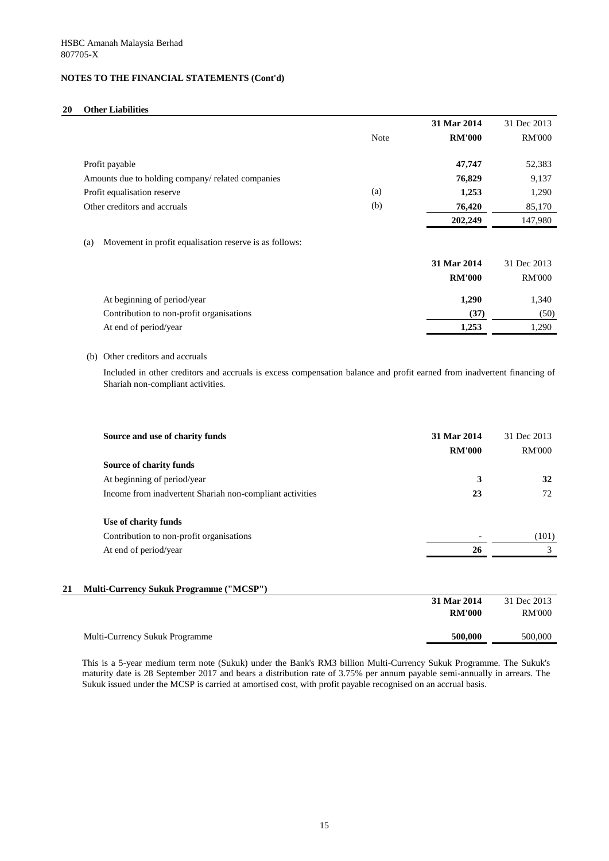# **20 Other Liabilities**

|                                                                                                                                                              |             | 31 Mar 2014                  | 31 Dec 2013                  |
|--------------------------------------------------------------------------------------------------------------------------------------------------------------|-------------|------------------------------|------------------------------|
|                                                                                                                                                              | <b>Note</b> | <b>RM'000</b>                | <b>RM'000</b>                |
| Profit payable                                                                                                                                               |             | 47,747                       | 52,383                       |
| Amounts due to holding company/ related companies                                                                                                            |             | 76,829                       | 9,137                        |
| Profit equalisation reserve                                                                                                                                  | (a)         | 1,253                        | 1,290                        |
| Other creditors and accruals                                                                                                                                 | (b)         | 76,420                       | 85,170                       |
|                                                                                                                                                              |             | 202,249                      | 147,980                      |
| Movement in profit equalisation reserve is as follows:<br>(a)                                                                                                |             | 31 Mar 2014<br><b>RM'000</b> | 31 Dec 2013<br><b>RM'000</b> |
| At beginning of period/year                                                                                                                                  |             | 1,290                        | 1,340                        |
| Contribution to non-profit organisations                                                                                                                     |             | (37)                         | (50)                         |
| At end of period/year                                                                                                                                        |             | 1,253                        | 1,290                        |
| Other creditors and accruals<br>(b)                                                                                                                          |             |                              |                              |
| Included in other creditors and accruals is excess compensation balance and profit earned from inadvertent financing of<br>Shariah non-compliant activities. |             |                              |                              |

| Source and use of charity funds                          | 31 Mar 2014<br><b>RM'000</b> | 31 Dec 2013<br><b>RM'000</b> |
|----------------------------------------------------------|------------------------------|------------------------------|
| <b>Source of charity funds</b>                           |                              |                              |
| At beginning of period/year                              | 3                            | 32                           |
| Income from inadvertent Shariah non-compliant activities | 23                           | 72                           |
| Use of charity funds                                     |                              |                              |
| Contribution to non-profit organisations                 |                              | (101)                        |
| At end of period/year                                    | 26                           | 3                            |
|                                                          |                              |                              |

## **21 Multi-Currency Sukuk Programme ("MCSP")**

|                                       | 31 Mar 2014   | 31 Dec 2013   |
|---------------------------------------|---------------|---------------|
|                                       | <b>RM'000</b> | <b>RM'000</b> |
|                                       |               |               |
| <b>Multi-Currency Sukuk Programme</b> | 500,000       | 500,000       |

This is a 5-year medium term note (Sukuk) under the Bank's RM3 billion Multi-Currency Sukuk Programme. The Sukuk's maturity date is 28 September 2017 and bears a distribution rate of 3.75% per annum payable semi-annually in arrears. The Sukuk issued under the MCSP is carried at amortised cost, with profit payable recognised on an accrual basis.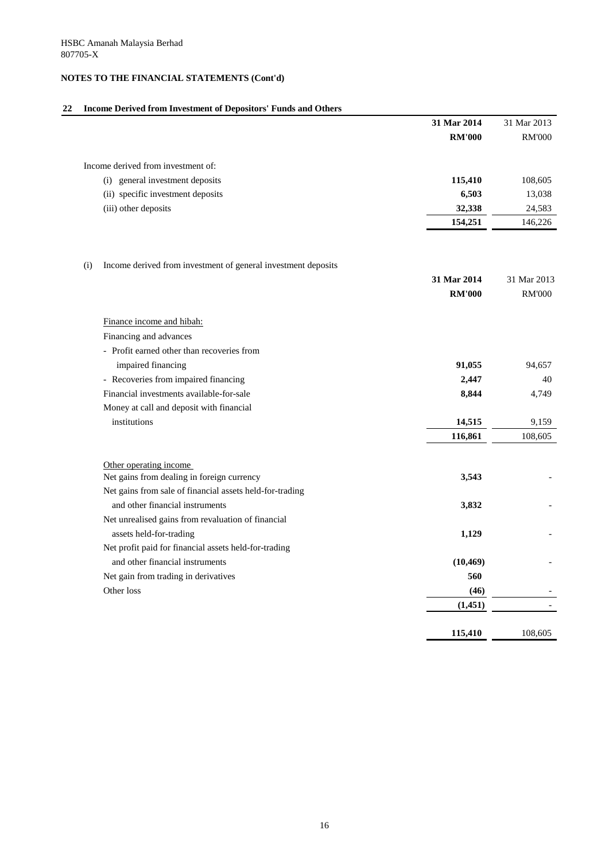# **22 Income Derived from Investment of Depositors' Funds and Others**

|     |                                                               | 31 Mar 2014   | 31 Mar 2013   |
|-----|---------------------------------------------------------------|---------------|---------------|
|     |                                                               | <b>RM'000</b> | <b>RM'000</b> |
|     | Income derived from investment of:                            |               |               |
|     | general investment deposits<br>(i)                            | 115,410       | 108,605       |
|     | (ii) specific investment deposits                             | 6,503         | 13,038        |
|     | (iii) other deposits                                          | 32,338        | 24,583        |
|     |                                                               | 154,251       | 146,226       |
|     |                                                               |               |               |
| (i) | Income derived from investment of general investment deposits |               |               |
|     |                                                               | 31 Mar 2014   | 31 Mar 2013   |
|     |                                                               | <b>RM'000</b> | <b>RM'000</b> |
|     | Finance income and hibah:                                     |               |               |
|     | Financing and advances                                        |               |               |
|     | - Profit earned other than recoveries from                    |               |               |
|     | impaired financing                                            | 91,055        | 94,657        |
|     | - Recoveries from impaired financing                          | 2,447         | 40            |
|     | Financial investments available-for-sale                      | 8,844         | 4,749         |
|     | Money at call and deposit with financial                      |               |               |
|     | institutions                                                  | 14,515        | 9,159         |
|     |                                                               | 116,861       | 108,605       |
|     | Other operating income                                        |               |               |
|     | Net gains from dealing in foreign currency                    | 3,543         |               |
|     | Net gains from sale of financial assets held-for-trading      |               |               |
|     | and other financial instruments                               | 3,832         |               |
|     | Net unrealised gains from revaluation of financial            |               |               |
|     | assets held-for-trading                                       | 1,129         |               |
|     | Net profit paid for financial assets held-for-trading         |               |               |
|     | and other financial instruments                               | (10, 469)     |               |
|     | Net gain from trading in derivatives                          | 560           |               |
|     | Other loss                                                    | (46)          |               |
|     |                                                               | (1,451)       |               |
|     |                                                               | 115,410       | 108,605       |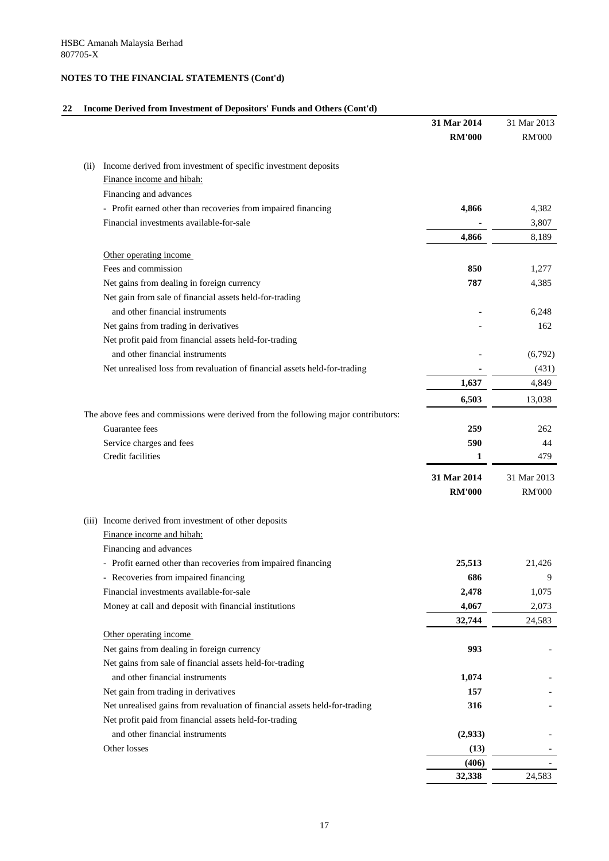# **22 Income Derived from Investment of Depositors' Funds and Others (Cont'd)**

|      |                                                                                                      | 31 Mar 2014   | 31 Mar 2013   |
|------|------------------------------------------------------------------------------------------------------|---------------|---------------|
|      |                                                                                                      | <b>RM'000</b> | <b>RM'000</b> |
|      |                                                                                                      |               |               |
| (ii) | Income derived from investment of specific investment deposits                                       |               |               |
|      | Finance income and hibah:                                                                            |               |               |
|      | Financing and advances                                                                               |               |               |
|      | - Profit earned other than recoveries from impaired financing                                        | 4,866         | 4,382         |
|      | Financial investments available-for-sale                                                             |               | 3,807         |
|      |                                                                                                      | 4,866         | 8,189         |
|      | Other operating income                                                                               |               |               |
|      | Fees and commission                                                                                  | 850           | 1,277         |
|      | Net gains from dealing in foreign currency                                                           | 787           | 4,385         |
|      | Net gain from sale of financial assets held-for-trading                                              |               |               |
|      | and other financial instruments                                                                      |               | 6,248         |
|      | Net gains from trading in derivatives                                                                |               | 162           |
|      | Net profit paid from financial assets held-for-trading                                               |               |               |
|      | and other financial instruments                                                                      |               | (6,792)       |
|      | Net unrealised loss from revaluation of financial assets held-for-trading                            |               | (431)         |
|      |                                                                                                      | 1,637         | 4,849         |
|      |                                                                                                      | 6,503         | 13,038        |
|      |                                                                                                      |               |               |
|      | The above fees and commissions were derived from the following major contributors:<br>Guarantee fees |               |               |
|      |                                                                                                      | 259           | 262           |
|      | Service charges and fees                                                                             | 590           | 44            |
|      | Credit facilities                                                                                    |               | 479           |
|      |                                                                                                      | 31 Mar 2014   | 31 Mar 2013   |
|      |                                                                                                      | <b>RM'000</b> | <b>RM'000</b> |
|      | (iii) Income derived from investment of other deposits                                               |               |               |
|      | Finance income and hibah:                                                                            |               |               |
|      | Financing and advances                                                                               |               |               |
|      | - Profit earned other than recoveries from impaired financing                                        | 25,513        | 21,426        |
|      | - Recoveries from impaired financing                                                                 | 686           | 9             |
|      | Financial investments available-for-sale                                                             | 2,478         | 1,075         |
|      | Money at call and deposit with financial institutions                                                | 4,067         | 2,073         |
|      |                                                                                                      | 32,744        | 24,583        |
|      | Other operating income                                                                               |               |               |
|      | Net gains from dealing in foreign currency                                                           | 993           |               |
|      | Net gains from sale of financial assets held-for-trading                                             |               |               |
|      | and other financial instruments                                                                      | 1,074         |               |
|      | Net gain from trading in derivatives                                                                 | 157           |               |
|      | Net unrealised gains from revaluation of financial assets held-for-trading                           | 316           |               |
|      | Net profit paid from financial assets held-for-trading                                               |               |               |
|      | and other financial instruments                                                                      |               |               |
|      |                                                                                                      | (2,933)       |               |
|      | Other losses                                                                                         | (13)          |               |
|      |                                                                                                      | (406)         |               |
|      |                                                                                                      | 32,338        | 24,583        |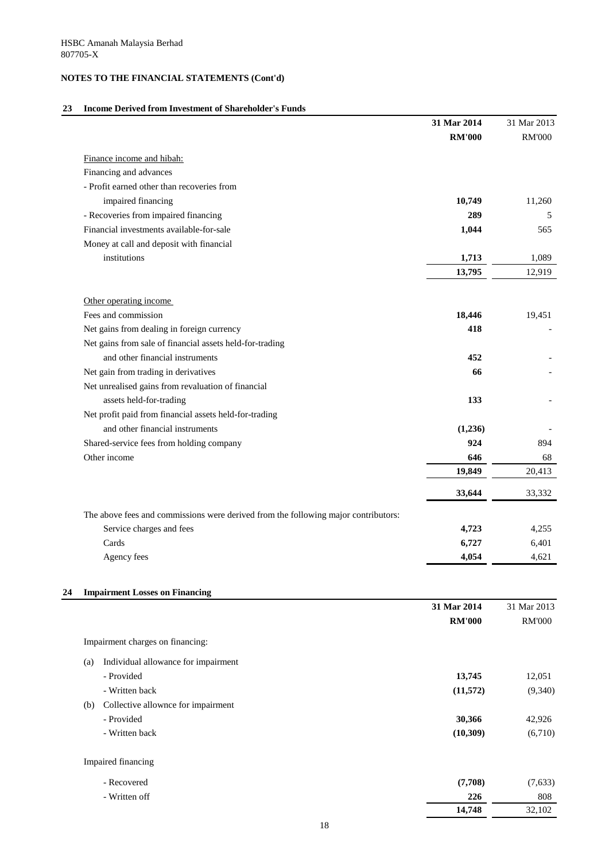# **23 Income Derived from Investment of Shareholder's Funds**

|                                                                                    | 31 Mar 2014<br><b>RM'000</b> | 31 Mar 2013<br><b>RM'000</b> |
|------------------------------------------------------------------------------------|------------------------------|------------------------------|
| Finance income and hibah:                                                          |                              |                              |
| Financing and advances                                                             |                              |                              |
| - Profit earned other than recoveries from                                         |                              |                              |
| impaired financing                                                                 | 10,749                       | 11,260                       |
| - Recoveries from impaired financing                                               | 289                          | 5                            |
| Financial investments available-for-sale                                           | 1,044                        | 565                          |
| Money at call and deposit with financial                                           |                              |                              |
| institutions                                                                       | 1,713                        | 1,089                        |
|                                                                                    | 13,795                       | 12,919                       |
| Other operating income                                                             |                              |                              |
| Fees and commission                                                                | 18,446                       | 19,451                       |
| Net gains from dealing in foreign currency                                         | 418                          |                              |
| Net gains from sale of financial assets held-for-trading                           |                              |                              |
| and other financial instruments                                                    | 452                          |                              |
| Net gain from trading in derivatives                                               | 66                           |                              |
| Net unrealised gains from revaluation of financial                                 |                              |                              |
| assets held-for-trading                                                            | 133                          |                              |
| Net profit paid from financial assets held-for-trading                             |                              |                              |
| and other financial instruments                                                    | (1,236)                      |                              |
| Shared-service fees from holding company                                           | 924                          | 894                          |
| Other income                                                                       | 646                          | 68                           |
|                                                                                    | 19,849                       | 20,413                       |
|                                                                                    | 33,644                       | 33,332                       |
| The above fees and commissions were derived from the following major contributors: |                              |                              |
| Service charges and fees                                                           | 4,723                        | 4,255                        |
| Cards                                                                              | 6,727                        | 6,401                        |
| Agency fees                                                                        | 4,054                        | 4,621                        |
| <b>Impairment Losses on Financing</b>                                              |                              |                              |
|                                                                                    | 31 Mar 2014                  | 31 Mar 2013                  |
|                                                                                    | <b>RM'000</b>                | <b>RM'000</b>                |
| Impairment charges on financing:                                                   |                              |                              |
| Individual allowance for impairment<br>(a)                                         |                              |                              |
| - Provided                                                                         | 13,745                       | 12,051                       |
| - Written back                                                                     | (11,572)                     | (9,340)                      |
| Collective allownce for impairment<br>(b)                                          |                              |                              |
| - Provided                                                                         | 30,366                       | 42,926                       |
| - Written back                                                                     | (10, 309)                    | (6,710)                      |
| Impaired financing                                                                 |                              |                              |
| - Recovered                                                                        | (7,708)                      | (7,633)                      |
| - Written off                                                                      | 226                          | 808                          |
|                                                                                    | 14,748                       | 32,102                       |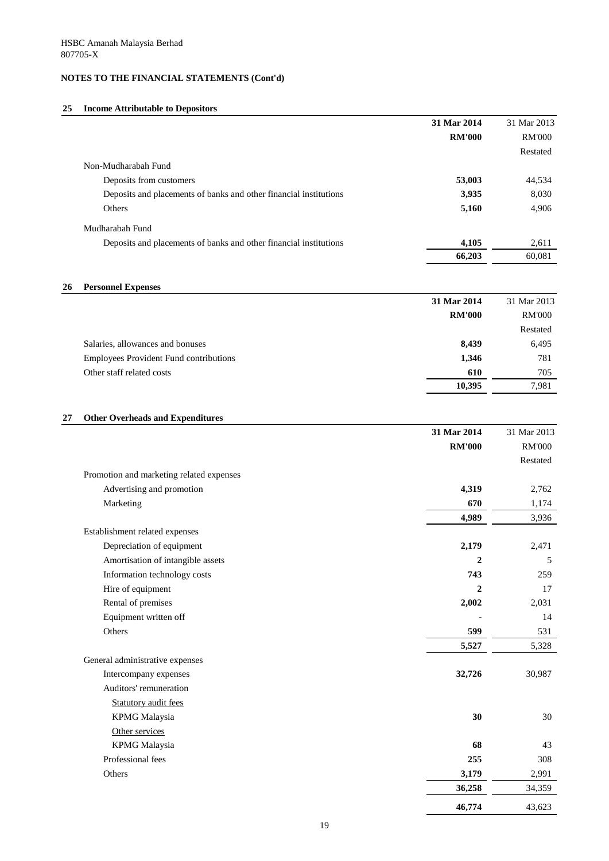#### **25 Income Attributable to Depositors**

|                                                                   | 31 Mar 2014   | 31 Mar 2013   |
|-------------------------------------------------------------------|---------------|---------------|
|                                                                   | <b>RM'000</b> | <b>RM'000</b> |
|                                                                   |               | Restated      |
| Non-Mudharabah Fund                                               |               |               |
| Deposits from customers                                           | 53,003        | 44,534        |
| Deposits and placements of banks and other financial institutions | 3,935         | 8,030         |
| Others                                                            | 5,160         | 4,906         |
| Mudharabah Fund                                                   |               |               |
| Deposits and placements of banks and other financial institutions | 4,105         | 2,611         |
|                                                                   | 66,203        | 60,081        |

#### **26 Personnel Expenses**

|                                               | 31 Mar 2014   | 31 Mar 2013   |
|-----------------------------------------------|---------------|---------------|
|                                               | <b>RM'000</b> | <b>RM'000</b> |
|                                               |               | Restated      |
| Salaries, allowances and bonuses              | 8,439         | 6,495         |
| <b>Employees Provident Fund contributions</b> | 1,346         | 781           |
| Other staff related costs                     | 610           | 705           |
|                                               | 10,395        | 7,981         |

# **27 Other Overheads and Expenditures**

|                                          | 31 Mar 2014    | 31 Mar 2013   |
|------------------------------------------|----------------|---------------|
|                                          | <b>RM'000</b>  | <b>RM'000</b> |
|                                          |                | Restated      |
| Promotion and marketing related expenses |                |               |
| Advertising and promotion                | 4,319          | 2,762         |
| Marketing                                | 670            | 1,174         |
|                                          | 4,989          | 3,936         |
| Establishment related expenses           |                |               |
| Depreciation of equipment                | 2,179          | 2,471         |
| Amortisation of intangible assets        | $\overline{2}$ | 5             |
| Information technology costs             | 743            | 259           |
| Hire of equipment                        | $\overline{2}$ | 17            |
| Rental of premises                       | 2,002          | 2,031         |
| Equipment written off                    |                | 14            |
| Others                                   | 599            | 531           |
|                                          | 5,527          | 5,328         |
| General administrative expenses          |                |               |
| Intercompany expenses                    | 32,726         | 30,987        |
| Auditors' remuneration                   |                |               |
| <b>Statutory audit fees</b>              |                |               |
| <b>KPMG</b> Malaysia                     | 30             | 30            |
| Other services                           |                |               |
| <b>KPMG</b> Malaysia                     | 68             | 43            |
| Professional fees                        | 255            | 308           |
| Others                                   | 3,179          | 2,991         |
|                                          | 36,258         | 34,359        |
|                                          | 46,774         | 43,623        |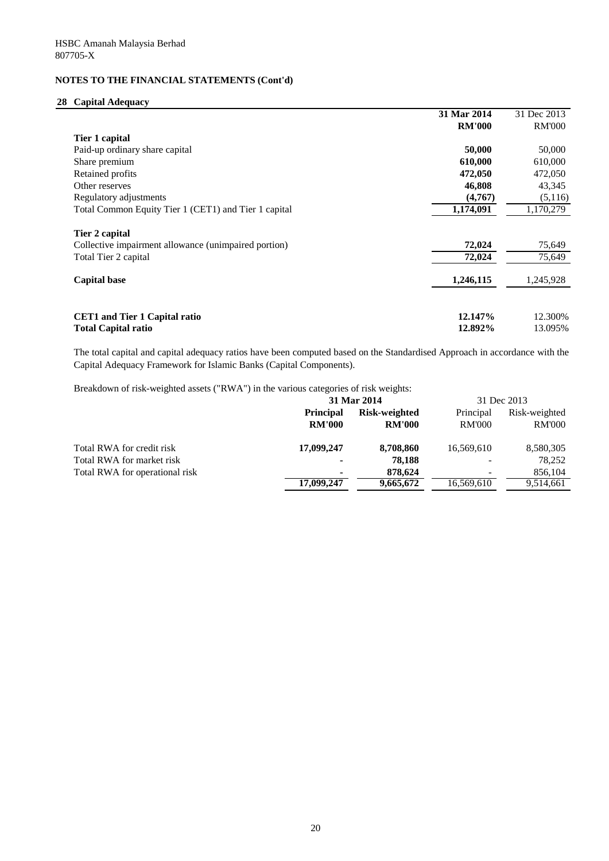# **28 Capital Adequacy**

|                                                      | 31 Mar 2014   | 31 Dec 2013   |
|------------------------------------------------------|---------------|---------------|
|                                                      | <b>RM'000</b> | <b>RM'000</b> |
| Tier 1 capital                                       |               |               |
| Paid-up ordinary share capital                       | 50,000        | 50,000        |
| Share premium                                        | 610,000       | 610,000       |
| Retained profits                                     | 472,050       | 472,050       |
| Other reserves                                       | 46,808        | 43,345        |
| Regulatory adjustments                               | (4,767)       | (5,116)       |
| Total Common Equity Tier 1 (CET1) and Tier 1 capital | 1,174,091     | 1,170,279     |
| Tier 2 capital                                       |               |               |
| Collective impairment allowance (unimpaired portion) | 72,024        | 75,649        |
| Total Tier 2 capital                                 | 72,024        | 75,649        |
| <b>Capital base</b>                                  | 1,246,115     | 1,245,928     |
|                                                      |               |               |
| <b>CET1</b> and Tier 1 Capital ratio                 | 12.147%       | 12.300%       |
| <b>Total Capital ratio</b>                           | 12.892%       | 13.095%       |

The total capital and capital adequacy ratios have been computed based on the Standardised Approach in accordance with the Capital Adequacy Framework for Islamic Banks (Capital Components).

Breakdown of risk-weighted assets ("RWA") in the various categories of risk weights:

|                                | 31 Mar 2014      |                      | 31 Dec 2013   |               |
|--------------------------------|------------------|----------------------|---------------|---------------|
|                                | <b>Principal</b> | <b>Risk-weighted</b> | Principal     | Risk-weighted |
|                                | <b>RM'000</b>    | <b>RM'000</b>        | <b>RM'000</b> | <b>RM'000</b> |
| Total RWA for credit risk      | 17,099,247       | 8,708,860            | 16,569,610    | 8,580,305     |
| Total RWA for market risk      | $\blacksquare$   | 78,188               |               | 78,252        |
| Total RWA for operational risk | $\blacksquare$   | 878,624              |               | 856,104       |
|                                | 17,099,247       | 9,665,672            | 16,569,610    | 9,514,661     |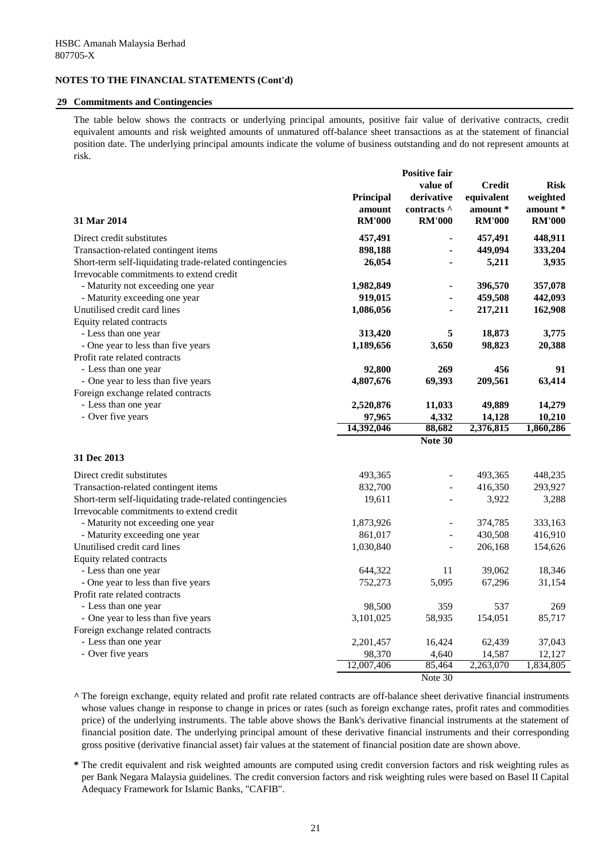#### **29 Commitments and Contingencies**

The table below shows the contracts or underlying principal amounts, positive fair value of derivative contracts, credit equivalent amounts and risk weighted amounts of unmatured off-balance sheet transactions as at the statement of financial position date. The underlying principal amounts indicate the volume of business outstanding and do not represent amounts at risk.

|                                                         |                  | <b>Positive fair</b><br>value of | <b>Credit</b> | <b>Risk</b>   |
|---------------------------------------------------------|------------------|----------------------------------|---------------|---------------|
|                                                         | <b>Principal</b> | derivative                       | equivalent    | weighted      |
|                                                         | amount           | contracts ^                      | amount *      | amount *      |
| 31 Mar 2014                                             | <b>RM'000</b>    | <b>RM'000</b>                    | <b>RM'000</b> | <b>RM'000</b> |
| Direct credit substitutes                               | 457,491          |                                  | 457,491       | 448,911       |
| Transaction-related contingent items                    | 898,188          |                                  | 449,094       | 333,204       |
| Short-term self-liquidating trade-related contingencies | 26,054           |                                  | 5,211         | 3,935         |
| Irrevocable commitments to extend credit                |                  |                                  |               |               |
| - Maturity not exceeding one year                       | 1,982,849        |                                  | 396,570       | 357,078       |
| - Maturity exceeding one year                           | 919,015          |                                  | 459,508       | 442,093       |
| Unutilised credit card lines                            | 1,086,056        |                                  | 217,211       | 162,908       |
| Equity related contracts                                |                  |                                  |               |               |
| - Less than one year                                    | 313,420          | 5                                | 18,873        | 3,775         |
| - One year to less than five years                      | 1,189,656        | 3,650                            | 98,823        | 20,388        |
| Profit rate related contracts                           |                  |                                  |               |               |
| - Less than one year                                    | 92,800           | 269                              | 456           | 91            |
| - One year to less than five years                      | 4,807,676        | 69,393                           | 209,561       | 63,414        |
| Foreign exchange related contracts                      |                  |                                  |               |               |
| - Less than one year                                    | 2,520,876        | 11,033                           | 49,889        | 14,279        |
| - Over five years                                       | 97,965           | 4,332                            | 14,128        | 10,210        |
|                                                         | 14,392,046       | 88,682                           | 2,376,815     | 1,860,286     |
|                                                         |                  | Note 30                          |               |               |
| 31 Dec 2013                                             |                  |                                  |               |               |
| Direct credit substitutes                               | 493,365          |                                  | 493,365       | 448,235       |
| Transaction-related contingent items                    | 832,700          |                                  | 416,350       | 293,927       |
| Short-term self-liquidating trade-related contingencies | 19,611           |                                  | 3,922         | 3,288         |
| Irrevocable commitments to extend credit                |                  |                                  |               |               |
| - Maturity not exceeding one year                       | 1,873,926        |                                  | 374,785       | 333,163       |
| - Maturity exceeding one year                           | 861,017          |                                  | 430,508       | 416,910       |
| Unutilised credit card lines                            | 1,030,840        |                                  | 206,168       | 154,626       |
| Equity related contracts                                |                  |                                  |               |               |
| - Less than one year                                    | 644,322          | 11                               | 39,062        | 18,346        |
| - One year to less than five years                      | 752,273          | 5,095                            | 67,296        | 31,154        |
| Profit rate related contracts                           |                  |                                  |               |               |
| - Less than one year                                    | 98,500           | 359                              | 537           | 269           |
| - One year to less than five years                      | 3,101,025        | 58,935                           | 154,051       | 85,717        |
| Foreign exchange related contracts                      |                  |                                  |               |               |
| - Less than one year                                    | 2,201,457        | 16,424                           | 62,439        | 37,043        |
| - Over five years                                       | 98,370           | 4,640                            | 14,587        | 12,127        |
|                                                         | 12,007,406       | 85,464                           | 2,263,070     | 1,834,805     |
|                                                         |                  | Note 30                          |               |               |

**^** The foreign exchange, equity related and profit rate related contracts are off-balance sheet derivative financial instruments whose values change in response to change in prices or rates (such as foreign exchange rates, profit rates and commodities price) of the underlying instruments. The table above shows the Bank's derivative financial instruments at the statement of financial position date. The underlying principal amount of these derivative financial instruments and their corresponding gross positive (derivative financial asset) fair values at the statement of financial position date are shown above.

**\*** The credit equivalent and risk weighted amounts are computed using credit conversion factors and risk weighting rules as per Bank Negara Malaysia guidelines. The credit conversion factors and risk weighting rules were based on Basel II Capital Adequacy Framework for Islamic Banks, "CAFIB".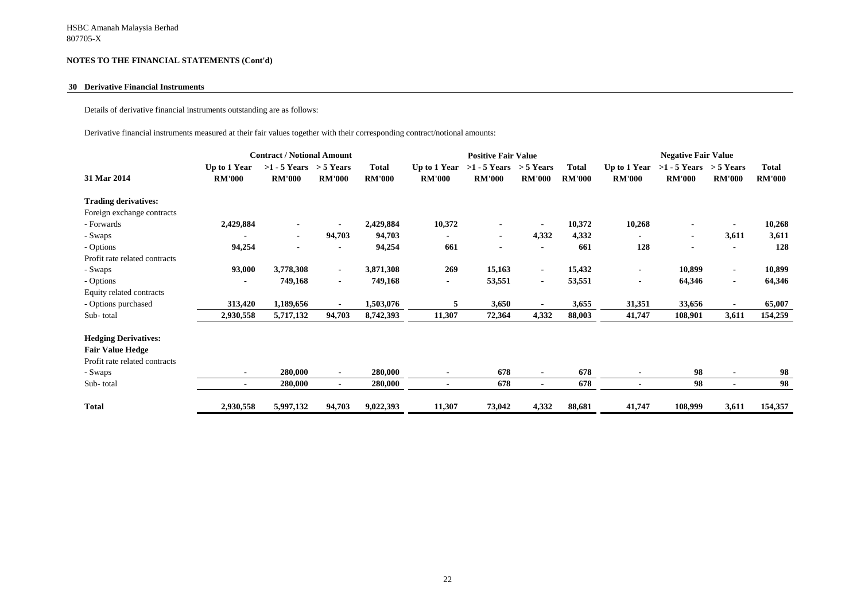#### **30 Derivative Financial Instruments**

Details of derivative financial instruments outstanding are as follows:

Derivative financial instruments measured at their fair values together with their corresponding contract/notional amounts:

|                               | <b>Contract / Notional Amount</b> |                                             |               |                               | <b>Positive Fair Value</b>    |                                             |                |                               | <b>Negative Fair Value</b>    |                                             |                |                               |
|-------------------------------|-----------------------------------|---------------------------------------------|---------------|-------------------------------|-------------------------------|---------------------------------------------|----------------|-------------------------------|-------------------------------|---------------------------------------------|----------------|-------------------------------|
| 31 Mar 2014                   | Up to 1 Year<br><b>RM'000</b>     | $>1 - 5$ Years $> 5$ Years<br><b>RM'000</b> | <b>RM'000</b> | <b>Total</b><br><b>RM'000</b> | Up to 1 Year<br><b>RM'000</b> | $>1 - 5$ Years $> 5$ Years<br><b>RM'000</b> | <b>RM'000</b>  | <b>Total</b><br><b>RM'000</b> | Up to 1 Year<br><b>RM'000</b> | $>1 - 5$ Years $> 5$ Years<br><b>RM'000</b> | <b>RM'000</b>  | <b>Total</b><br><b>RM'000</b> |
| <b>Trading derivatives:</b>   |                                   |                                             |               |                               |                               |                                             |                |                               |                               |                                             |                |                               |
| Foreign exchange contracts    |                                   |                                             |               |                               |                               |                                             |                |                               |                               |                                             |                |                               |
| - Forwards                    | 2,429,884                         | $\blacksquare$                              |               | 2,429,884                     | 10,372                        |                                             |                | 10,372                        | 10,268                        |                                             |                | 10,268                        |
| - Swaps                       | $\blacksquare$                    | $\sim$                                      | 94,703        | 94,703                        | $\blacksquare$                | $\sim$                                      | 4,332          | 4,332                         |                               |                                             | 3,611          | 3,611                         |
| - Options                     | 94,254                            | $\blacksquare$                              |               | 94,254                        | 661                           | $\blacksquare$                              |                | 661                           | 128                           |                                             |                | 128                           |
| Profit rate related contracts |                                   |                                             |               |                               |                               |                                             |                |                               |                               |                                             |                |                               |
| - Swaps                       | 93,000                            | 3,778,308                                   | $\sim$        | 3,871,308                     | 269                           | 15,163                                      | $\sim$         | 15,432                        |                               | 10,899                                      | $\sim$         | 10,899                        |
| - Options                     |                                   | 749,168                                     | $\sim$        | 749,168                       | $\blacksquare$                | 53,551                                      | $\sim$         | 53,551                        |                               | 64,346                                      | $\sim$         | 64,346                        |
| Equity related contracts      |                                   |                                             |               |                               |                               |                                             |                |                               |                               |                                             |                |                               |
| - Options purchased           | 313,420                           | 1,189,656                                   | $\sim$        | 1,503,076                     | 5                             | 3,650                                       | $\sim$         | 3,655                         | 31,351                        | 33,656                                      | $\sim$         | 65,007                        |
| Sub-total                     | 2,930,558                         | 5,717,132                                   | 94,703        | 8,742,393                     | 11,307                        | 72,364                                      | 4,332          | 88,003                        | 41,747                        | 108,901                                     | 3,611          | 154,259                       |
| <b>Hedging Derivatives:</b>   |                                   |                                             |               |                               |                               |                                             |                |                               |                               |                                             |                |                               |
| <b>Fair Value Hedge</b>       |                                   |                                             |               |                               |                               |                                             |                |                               |                               |                                             |                |                               |
| Profit rate related contracts |                                   |                                             |               |                               |                               |                                             |                |                               |                               |                                             |                |                               |
| - Swaps                       | $\blacksquare$                    | 280,000                                     | $\sim$        | 280,000                       |                               | 678                                         | $\blacksquare$ | 678                           |                               | 98                                          | $\blacksquare$ | 98                            |
| Sub-total                     | $\blacksquare$                    | 280,000                                     | ۰.            | 280,000                       | $\blacksquare$                | 678                                         | $\sim$         | 678                           | $\blacksquare$                | 98                                          | $\blacksquare$ | 98                            |
| <b>Total</b>                  | 2,930,558                         | 5,997,132                                   | 94,703        | 9,022,393                     | 11,307                        | 73,042                                      | 4,332          | 88,681                        | 41,747                        | 108,999                                     | 3,611          | 154,357                       |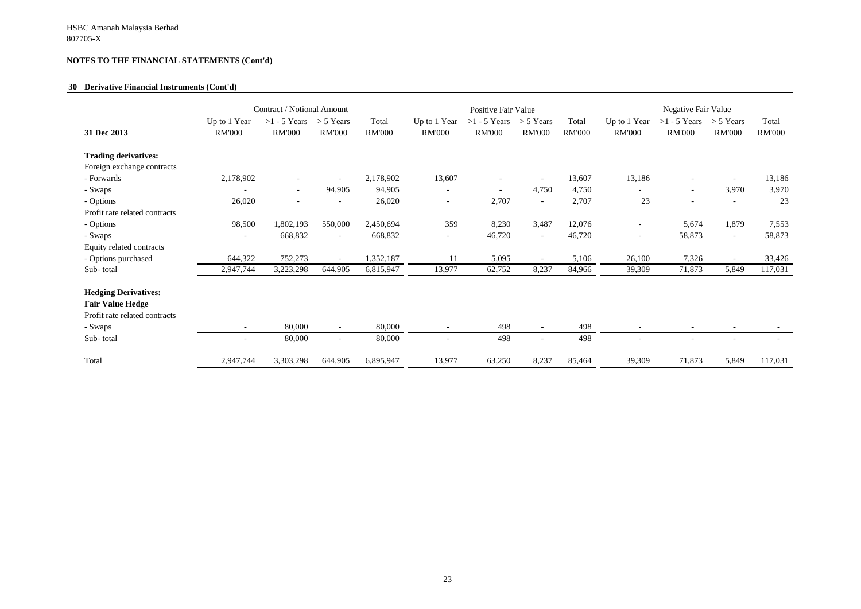#### **30 Derivative Financial Instruments (Cont'd)**

|                                                                                                                 | Contract / Notional Amount                           |                                 |                                    |                        | Positive Fair Value           |                                 |                                  |                        | Negative Fair Value           |                                 |                              |                        |
|-----------------------------------------------------------------------------------------------------------------|------------------------------------------------------|---------------------------------|------------------------------------|------------------------|-------------------------------|---------------------------------|----------------------------------|------------------------|-------------------------------|---------------------------------|------------------------------|------------------------|
| 31 Dec 2013                                                                                                     | Up to 1 Year<br><b>RM'000</b>                        | $>1 - 5$ Years<br><b>RM'000</b> | $>$ 5 Years<br><b>RM'000</b>       | Total<br><b>RM'000</b> | Up to 1 Year<br><b>RM'000</b> | $>1 - 5$ Years<br><b>RM'000</b> | $> 5$ Years<br><b>RM'000</b>     | Total<br><b>RM'000</b> | Up to 1 Year<br><b>RM'000</b> | $>1 - 5$ Years<br><b>RM'000</b> | $>$ 5 Years<br><b>RM'000</b> | Total<br><b>RM'000</b> |
| <b>Trading derivatives:</b>                                                                                     |                                                      |                                 |                                    |                        |                               |                                 |                                  |                        |                               |                                 |                              |                        |
| Foreign exchange contracts                                                                                      |                                                      |                                 |                                    |                        |                               |                                 |                                  |                        |                               |                                 |                              |                        |
| - Forwards                                                                                                      | 2,178,902                                            |                                 |                                    | 2,178,902              | 13,607                        |                                 | $\overline{\phantom{a}}$         | 13,607                 | 13,186                        |                                 |                              | 13,186                 |
| - Swaps                                                                                                         |                                                      | $\sim$                          | 94,905                             | 94,905                 | $\overline{\phantom{a}}$      |                                 | 4,750                            | 4,750                  | -                             | $\overline{\phantom{a}}$        | 3,970                        | 3,970                  |
| - Options                                                                                                       | 26,020                                               |                                 |                                    | 26,020                 | $\overline{\phantom{a}}$      | 2,707                           | $\overline{\phantom{a}}$         | 2,707                  | 23                            |                                 |                              | 23                     |
| Profit rate related contracts                                                                                   |                                                      |                                 |                                    |                        |                               |                                 |                                  |                        |                               |                                 |                              |                        |
| - Options                                                                                                       | 98,500                                               | 1,802,193                       | 550,000                            | 2,450,694              | 359                           | 8,230                           | 3,487                            | 12,076                 | $\overline{\phantom{a}}$      | 5,674                           | 1,879                        | 7,553                  |
| - Swaps                                                                                                         |                                                      | 668,832                         | $\overline{\phantom{a}}$           | 668,832                | $\overline{\phantom{a}}$      | 46,720                          | $\overline{\phantom{a}}$         | 46,720                 | $\overline{\phantom{a}}$      | 58,873                          | $\sim$                       | 58,873                 |
| Equity related contracts                                                                                        |                                                      |                                 |                                    |                        |                               |                                 |                                  |                        |                               |                                 |                              |                        |
| - Options purchased                                                                                             | 644,322                                              | 752,273                         | $\overline{\phantom{a}}$           | 1,352,187              | 11                            | 5,095                           | $\overline{\phantom{a}}$         | 5,106                  | 26,100                        | 7,326                           |                              | 33,426                 |
| Sub-total                                                                                                       | 2,947,744                                            | 3,223,298                       | 644,905                            | 6,815,947              | 13,977                        | 62,752                          | 8,237                            | 84,966                 | 39,309                        | 71,873                          | 5,849                        | 117,031                |
| <b>Hedging Derivatives:</b><br><b>Fair Value Hedge</b><br>Profit rate related contracts<br>- Swaps<br>Sub-total | $\overline{\phantom{a}}$<br>$\overline{\phantom{a}}$ | 80,000<br>80,000                | $\overline{\phantom{a}}$<br>$\sim$ | 80,000<br>80,000       | $\overline{\phantom{a}}$      | 498<br>498                      | $\blacksquare$<br>$\blacksquare$ | 498<br>498             | $\blacksquare$                | $\overline{\phantom{a}}$        | $\overline{\phantom{0}}$     |                        |
| Total                                                                                                           | 2,947,744                                            | 3,303,298                       | 644,905                            | 6,895,947              | 13,977                        | 63,250                          | 8,237                            | 85,464                 | 39,309                        | 71,873                          | 5,849                        | 117,031                |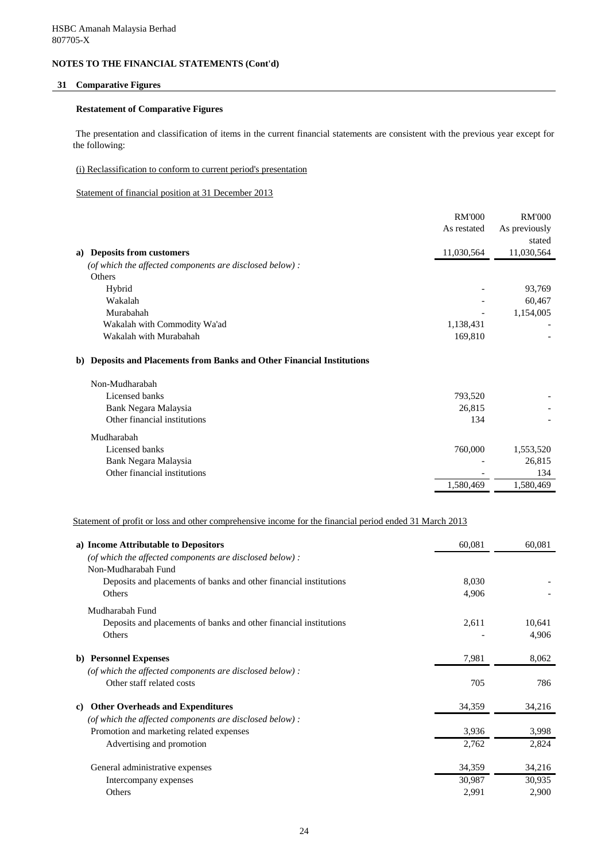# **31 Comparative Figures**

#### **Restatement of Comparative Figures**

The presentation and classification of items in the current financial statements are consistent with the previous year except for the following:

#### (i) Reclassification to conform to current period's presentation

Statement of financial position at 31 December 2013

|                                                                        | <b>RM'000</b> | <b>RM'000</b> |
|------------------------------------------------------------------------|---------------|---------------|
|                                                                        | As restated   | As previously |
|                                                                        |               | stated        |
| a) Deposits from customers                                             | 11,030,564    | 11,030,564    |
| (of which the affected components are disclosed below) :               |               |               |
| Others                                                                 |               |               |
| Hybrid                                                                 |               | 93,769        |
| Wakalah                                                                |               | 60,467        |
| Murabahah                                                              |               | 1,154,005     |
| Wakalah with Commodity Wa'ad                                           | 1,138,431     |               |
| Wakalah with Murabahah                                                 | 169,810       |               |
| b) Deposits and Placements from Banks and Other Financial Institutions |               |               |
| Non-Mudharabah                                                         |               |               |
| Licensed banks                                                         | 793,520       |               |
| Bank Negara Malaysia                                                   | 26,815        |               |
| Other financial institutions                                           | 134           |               |
| Mudharabah                                                             |               |               |
| Licensed banks                                                         | 760,000       | 1,553,520     |
| Bank Negara Malaysia                                                   |               | 26,815        |
| Other financial institutions                                           |               | 134           |

 $1,580,469$   $1,580,469$ 

Statement of profit or loss and other comprehensive income for the financial period ended 31 March 2013

| a) Income Attributable to Depositors                              | 60,081 | 60,081 |
|-------------------------------------------------------------------|--------|--------|
| (of which the affected components are disclosed below) :          |        |        |
| Non-Mudharabah Fund                                               |        |        |
| Deposits and placements of banks and other financial institutions | 8,030  |        |
| Others                                                            | 4,906  |        |
| Mudharabah Fund                                                   |        |        |
| Deposits and placements of banks and other financial institutions | 2,611  | 10,641 |
| Others                                                            |        | 4,906  |
| <b>Personnel Expenses</b><br>b)                                   | 7,981  | 8,062  |
| (of which the affected components are disclosed below) :          |        |        |
| Other staff related costs                                         | 705    | 786    |
| <b>Other Overheads and Expenditures</b><br>C)                     | 34,359 | 34,216 |
| (of which the affected components are disclosed below) :          |        |        |
| Promotion and marketing related expenses                          | 3,936  | 3,998  |
| Advertising and promotion                                         | 2,762  | 2,824  |
| General administrative expenses                                   | 34,359 | 34,216 |
| Intercompany expenses                                             | 30,987 | 30,935 |
| Others                                                            | 2,991  | 2,900  |
|                                                                   |        |        |